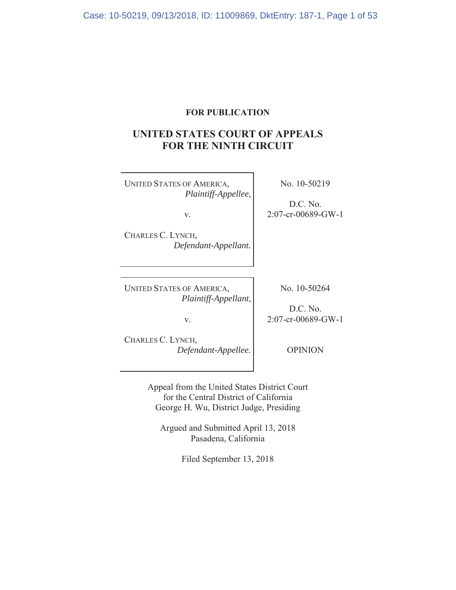# **FOR PUBLICATION**

# **UNITED STATES COURT OF APPEALS FOR THE NINTH CIRCUIT**

UNITED STATES OF AMERICA, *Plaintiff-Appellee*,

No. 10-50219

D.C. No. 2:07-cr-00689-GW-1

v.

CHARLES C. LYNCH, *Defendant-Appellant.*

No. 10-50264

UNITED STATES OF AMERICA, *Plaintiff-Appellant*,

D.C. No. 2:07-cr-00689-GW-1

v.

CHARLES C. LYNCH, *Defendant-Appellee.*

OPINION

Appeal from the United States District Court for the Central District of California George H. Wu, District Judge, Presiding

Argued and Submitted April 13, 2018 Pasadena, California

Filed September 13, 2018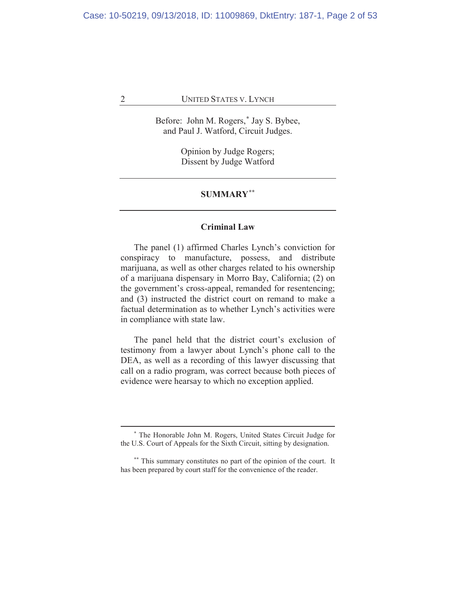Before: John M. Rogers,**\*** Jay S. Bybee, and Paul J. Watford, Circuit Judges.

> Opinion by Judge Rogers; Dissent by Judge Watford

#### **SUMMARY\*\***

## **Criminal Law**

The panel (1) affirmed Charles Lynch's conviction for conspiracy to manufacture, possess, and distribute marijuana, as well as other charges related to his ownership of a marijuana dispensary in Morro Bay, California; (2) on the government's cross-appeal, remanded for resentencing; and (3) instructed the district court on remand to make a factual determination as to whether Lynch's activities were in compliance with state law.

The panel held that the district court's exclusion of testimony from a lawyer about Lynch's phone call to the DEA, as well as a recording of this lawyer discussing that call on a radio program, was correct because both pieces of evidence were hearsay to which no exception applied.

**<sup>\*</sup>** The Honorable John M. Rogers, United States Circuit Judge for the U.S. Court of Appeals for the Sixth Circuit, sitting by designation.

**<sup>\*\*</sup>** This summary constitutes no part of the opinion of the court. It has been prepared by court staff for the convenience of the reader.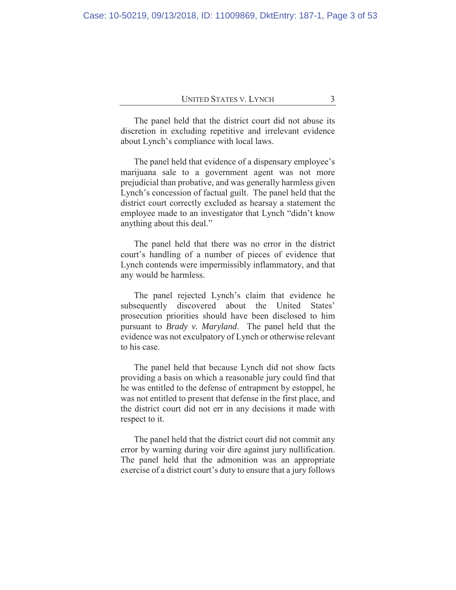The panel held that the district court did not abuse its discretion in excluding repetitive and irrelevant evidence about Lynch's compliance with local laws.

The panel held that evidence of a dispensary employee's marijuana sale to a government agent was not more prejudicial than probative, and was generally harmless given Lynch's concession of factual guilt. The panel held that the district court correctly excluded as hearsay a statement the employee made to an investigator that Lynch "didn't know anything about this deal."

The panel held that there was no error in the district court's handling of a number of pieces of evidence that Lynch contends were impermissibly inflammatory, and that any would be harmless.

The panel rejected Lynch's claim that evidence he subsequently discovered about the United States' prosecution priorities should have been disclosed to him pursuant to *Brady v. Maryland*. The panel held that the evidence was not exculpatory of Lynch or otherwise relevant to his case.

The panel held that because Lynch did not show facts providing a basis on which a reasonable jury could find that he was entitled to the defense of entrapment by estoppel, he was not entitled to present that defense in the first place, and the district court did not err in any decisions it made with respect to it.

The panel held that the district court did not commit any error by warning during voir dire against jury nullification. The panel held that the admonition was an appropriate exercise of a district court's duty to ensure that a jury follows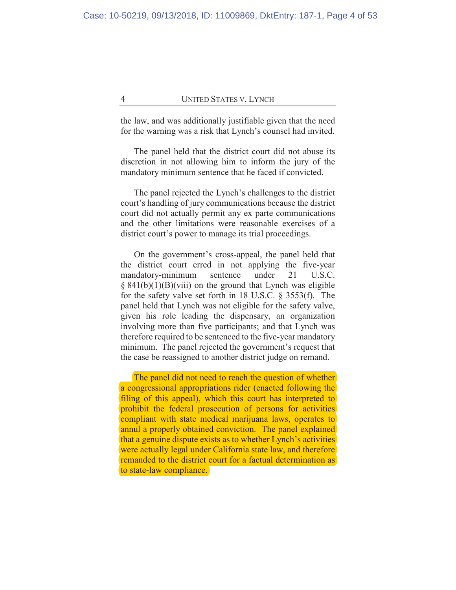the law, and was additionally justifiable given that the need for the warning was a risk that Lynch's counsel had invited.

The panel held that the district court did not abuse its discretion in not allowing him to inform the jury of the mandatory minimum sentence that he faced if convicted.

The panel rejected the Lynch's challenges to the district court's handling of jury communications because the district court did not actually permit any ex parte communications and the other limitations were reasonable exercises of a district court's power to manage its trial proceedings.

On the government's cross-appeal, the panel held that the district court erred in not applying the five-year mandatory-minimum sentence under 21 U.S.C.  $\S$  841(b)(1)(B)(viii) on the ground that Lynch was eligible for the safety valve set forth in 18 U.S.C. § 3553(f). The panel held that Lynch was not eligible for the safety valve, given his role leading the dispensary, an organization involving more than five participants; and that Lynch was therefore required to be sentenced to the five-year mandatory minimum. The panel rejected the government's request that the case be reassigned to another district judge on remand.

The panel did not need to reach the question of whether a congressional appropriations rider (enacted following the filing of this appeal), which this court has interpreted to prohibit the federal prosecution of persons for activities compliant with state medical marijuana laws, operates to annul a properly obtained conviction. The panel explained that a genuine dispute exists as to whether Lynch's activities were actually legal under California state law, and therefore remanded to the district court for a factual determination as to state-law compliance.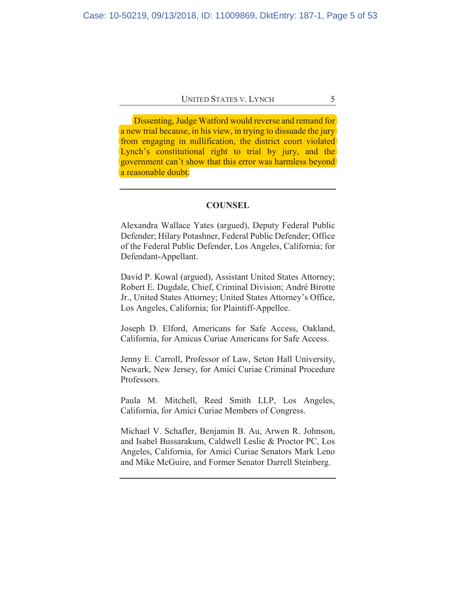Dissenting, Judge Watford would reverse and remand for a new trial because, in his view, in trying to dissuade the jury from engaging in nullification, the district court violated Lynch's constitutional right to trial by jury, and the government can't show that this error was harmless beyond a reasonable doubt.

## **COUNSEL**

Alexandra Wallace Yates (argued), Deputy Federal Public Defender; Hilary Potashner, Federal Public Defender; Office of the Federal Public Defender, Los Angeles, California; for Defendant-Appellant.

David P. Kowal (argued), Assistant United States Attorney; Robert E. Dugdale, Chief, Criminal Division; André Birotte Jr., United States Attorney; United States Attorney's Office, Los Angeles, California; for Plaintiff-Appellee.

Joseph D. Elford, Americans for Safe Access, Oakland, California, for Amicus Curiae Americans for Safe Access.

Jenny E. Carroll, Professor of Law, Seton Hall University, Newark, New Jersey, for Amici Curiae Criminal Procedure Professors.

Paula M. Mitchell, Reed Smith LLP, Los Angeles, California, for Amici Curiae Members of Congress.

Michael V. Schafler, Benjamin B. Au, Arwen R. Johnson, and Isabel Bussarakum, Caldwell Leslie & Proctor PC, Los Angeles, California, for Amici Curiae Senators Mark Leno and Mike McGuire, and Former Senator Darrell Steinberg.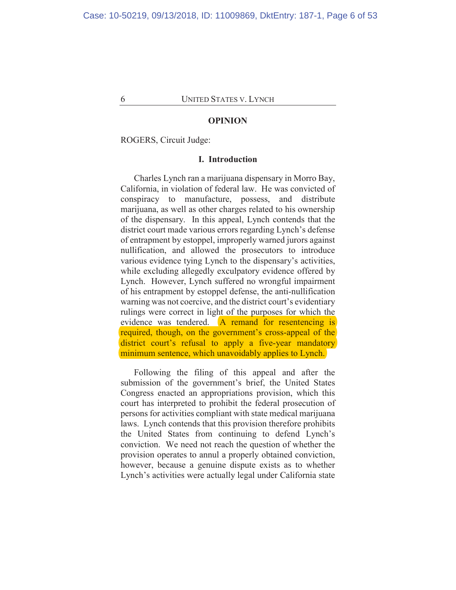#### **OPINION**

ROGERS, Circuit Judge:

#### **I. Introduction**

Charles Lynch ran a marijuana dispensary in Morro Bay, California, in violation of federal law. He was convicted of conspiracy to manufacture, possess, and distribute marijuana, as well as other charges related to his ownership of the dispensary. In this appeal, Lynch contends that the district court made various errors regarding Lynch's defense of entrapment by estoppel, improperly warned jurors against nullification, and allowed the prosecutors to introduce various evidence tying Lynch to the dispensary's activities, while excluding allegedly exculpatory evidence offered by Lynch. However, Lynch suffered no wrongful impairment of his entrapment by estoppel defense, the anti-nullification warning was not coercive, and the district court's evidentiary rulings were correct in light of the purposes for which the evidence was tendered. A remand for resentencing is required, though, on the government's cross-appeal of the district court's refusal to apply a five-year mandatory minimum sentence, which unavoidably applies to Lynch.

Following the filing of this appeal and after the submission of the government's brief, the United States Congress enacted an appropriations provision, which this court has interpreted to prohibit the federal prosecution of persons for activities compliant with state medical marijuana laws. Lynch contends that this provision therefore prohibits the United States from continuing to defend Lynch's conviction. We need not reach the question of whether the provision operates to annul a properly obtained conviction, however, because a genuine dispute exists as to whether Lynch's activities were actually legal under California state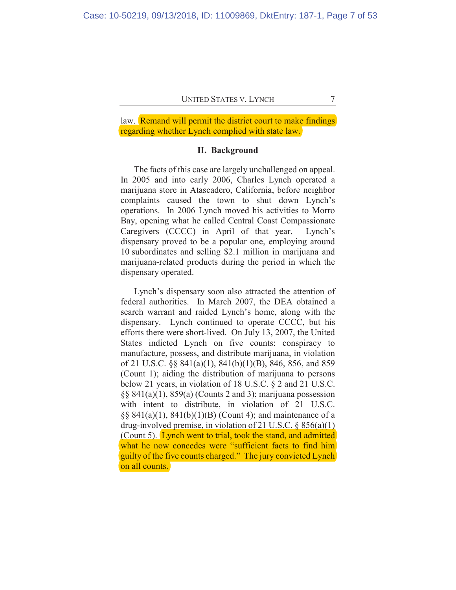law. Remand will permit the district court to make findings regarding whether Lynch complied with state law.

## **II. Background**

The facts of this case are largely unchallenged on appeal. In 2005 and into early 2006, Charles Lynch operated a marijuana store in Atascadero, California, before neighbor complaints caused the town to shut down Lynch's operations. In 2006 Lynch moved his activities to Morro Bay, opening what he called Central Coast Compassionate Caregivers (CCCC) in April of that year. Lynch's dispensary proved to be a popular one, employing around 10 subordinates and selling \$2.1 million in marijuana and marijuana-related products during the period in which the dispensary operated.

Lynch's dispensary soon also attracted the attention of federal authorities. In March 2007, the DEA obtained a search warrant and raided Lynch's home, along with the dispensary. Lynch continued to operate CCCC, but his efforts there were short-lived. On July 13, 2007, the United States indicted Lynch on five counts: conspiracy to manufacture, possess, and distribute marijuana, in violation of 21 U.S.C. §§ 841(a)(1), 841(b)(1)(B), 846, 856, and 859 (Count 1); aiding the distribution of marijuana to persons below 21 years, in violation of 18 U.S.C. § 2 and 21 U.S.C.  $\S$ § 841(a)(1), 859(a) (Counts 2 and 3); marijuana possession with intent to distribute, in violation of 21 U.S.C. §§ 841(a)(1), 841(b)(1)(B) (Count 4); and maintenance of a drug-involved premise, in violation of 21 U.S.C. § 856(a)(1) (Count 5). Lynch went to trial, took the stand, and admitted what he now concedes were "sufficient facts to find him guilty of the five counts charged." The jury convicted Lynch on all counts.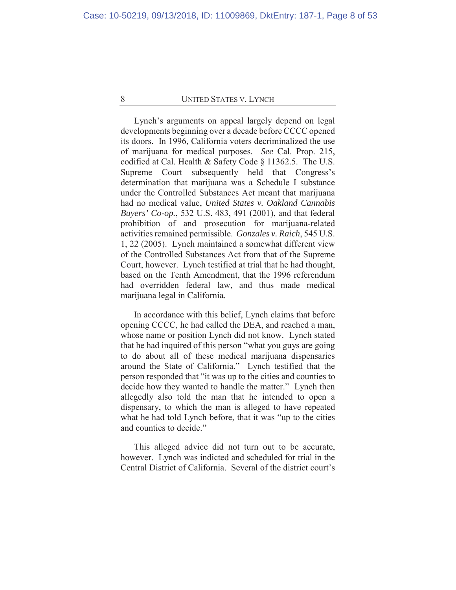Lynch's arguments on appeal largely depend on legal developments beginning over a decade before CCCC opened its doors. In 1996, California voters decriminalized the use of marijuana for medical purposes. *See* Cal. Prop. 215, codified at Cal. Health & Safety Code § 11362.5. The U.S. Supreme Court subsequently held that Congress's determination that marijuana was a Schedule I substance under the Controlled Substances Act meant that marijuana had no medical value, *United States v. Oakland Cannabis Buyers' Co-op.*, 532 U.S. 483, 491 (2001), and that federal prohibition of and prosecution for marijuana-related activities remained permissible. *Gonzales v. Raich*, 545 U.S. 1, 22 (2005). Lynch maintained a somewhat different view of the Controlled Substances Act from that of the Supreme Court, however. Lynch testified at trial that he had thought, based on the Tenth Amendment, that the 1996 referendum had overridden federal law, and thus made medical marijuana legal in California.

In accordance with this belief, Lynch claims that before opening CCCC, he had called the DEA, and reached a man, whose name or position Lynch did not know. Lynch stated that he had inquired of this person "what you guys are going to do about all of these medical marijuana dispensaries around the State of California." Lynch testified that the person responded that "it was up to the cities and counties to decide how they wanted to handle the matter." Lynch then allegedly also told the man that he intended to open a dispensary, to which the man is alleged to have repeated what he had told Lynch before, that it was "up to the cities and counties to decide."

This alleged advice did not turn out to be accurate, however. Lynch was indicted and scheduled for trial in the Central District of California. Several of the district court's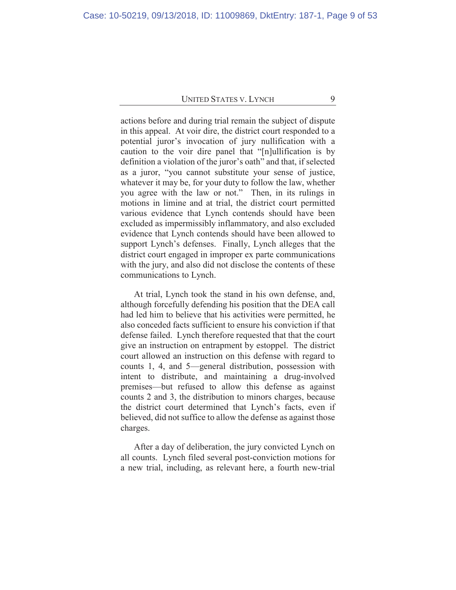actions before and during trial remain the subject of dispute in this appeal. At voir dire, the district court responded to a potential juror's invocation of jury nullification with a caution to the voir dire panel that "[n]ullification is by definition a violation of the juror's oath" and that, if selected as a juror, "you cannot substitute your sense of justice, whatever it may be, for your duty to follow the law, whether you agree with the law or not." Then, in its rulings in motions in limine and at trial, the district court permitted various evidence that Lynch contends should have been excluded as impermissibly inflammatory, and also excluded evidence that Lynch contends should have been allowed to support Lynch's defenses. Finally, Lynch alleges that the district court engaged in improper ex parte communications with the jury, and also did not disclose the contents of these communications to Lynch.

At trial, Lynch took the stand in his own defense, and, although forcefully defending his position that the DEA call had led him to believe that his activities were permitted, he also conceded facts sufficient to ensure his conviction if that defense failed. Lynch therefore requested that that the court give an instruction on entrapment by estoppel. The district court allowed an instruction on this defense with regard to counts 1, 4, and 5—general distribution, possession with intent to distribute, and maintaining a drug-involved premises—but refused to allow this defense as against counts 2 and 3, the distribution to minors charges, because the district court determined that Lynch's facts, even if believed, did not suffice to allow the defense as against those charges.

After a day of deliberation, the jury convicted Lynch on all counts. Lynch filed several post-conviction motions for a new trial, including, as relevant here, a fourth new-trial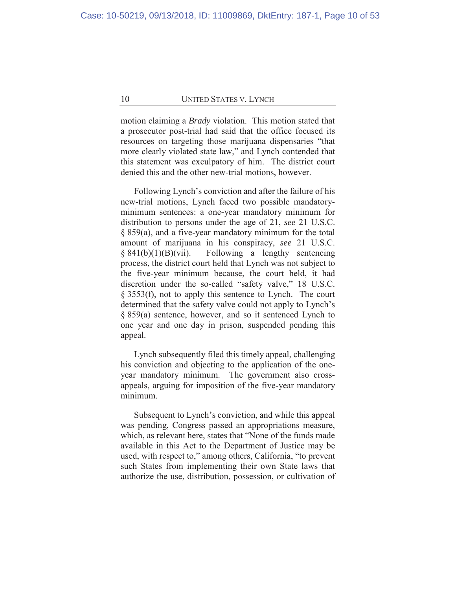motion claiming a *Brady* violation. This motion stated that a prosecutor post-trial had said that the office focused its resources on targeting those marijuana dispensaries "that more clearly violated state law," and Lynch contended that this statement was exculpatory of him. The district court denied this and the other new-trial motions, however.

Following Lynch's conviction and after the failure of his new-trial motions, Lynch faced two possible mandatoryminimum sentences: a one-year mandatory minimum for distribution to persons under the age of 21, *see* 21 U.S.C. § 859(a), and a five-year mandatory minimum for the total amount of marijuana in his conspiracy, *see* 21 U.S.C. § 841(b)(1)(B)(vii). Following a lengthy sentencing process, the district court held that Lynch was not subject to the five-year minimum because, the court held, it had discretion under the so-called "safety valve," 18 U.S.C. § 3553(f), not to apply this sentence to Lynch. The court determined that the safety valve could not apply to Lynch's § 859(a) sentence, however, and so it sentenced Lynch to one year and one day in prison, suspended pending this appeal.

Lynch subsequently filed this timely appeal, challenging his conviction and objecting to the application of the oneyear mandatory minimum. The government also crossappeals, arguing for imposition of the five-year mandatory minimum.

Subsequent to Lynch's conviction, and while this appeal was pending, Congress passed an appropriations measure, which, as relevant here, states that "None of the funds made available in this Act to the Department of Justice may be used, with respect to," among others, California, "to prevent such States from implementing their own State laws that authorize the use, distribution, possession, or cultivation of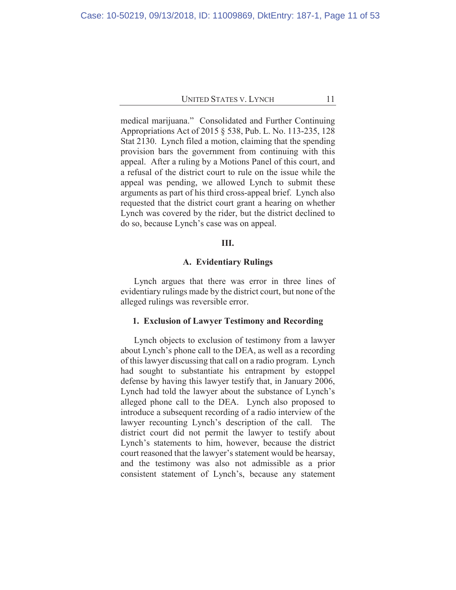medical marijuana." Consolidated and Further Continuing Appropriations Act of 2015 § 538, Pub. L. No. 113-235, 128 Stat 2130. Lynch filed a motion, claiming that the spending provision bars the government from continuing with this appeal. After a ruling by a Motions Panel of this court, and a refusal of the district court to rule on the issue while the appeal was pending, we allowed Lynch to submit these arguments as part of his third cross-appeal brief. Lynch also requested that the district court grant a hearing on whether Lynch was covered by the rider, but the district declined to do so, because Lynch's case was on appeal.

# **III.**

## **A. Evidentiary Rulings**

Lynch argues that there was error in three lines of evidentiary rulings made by the district court, but none of the alleged rulings was reversible error.

#### **1. Exclusion of Lawyer Testimony and Recording**

Lynch objects to exclusion of testimony from a lawyer about Lynch's phone call to the DEA, as well as a recording of this lawyer discussing that call on a radio program. Lynch had sought to substantiate his entrapment by estoppel defense by having this lawyer testify that, in January 2006, Lynch had told the lawyer about the substance of Lynch's alleged phone call to the DEA. Lynch also proposed to introduce a subsequent recording of a radio interview of the lawyer recounting Lynch's description of the call. The district court did not permit the lawyer to testify about Lynch's statements to him, however, because the district court reasoned that the lawyer's statement would be hearsay, and the testimony was also not admissible as a prior consistent statement of Lynch's, because any statement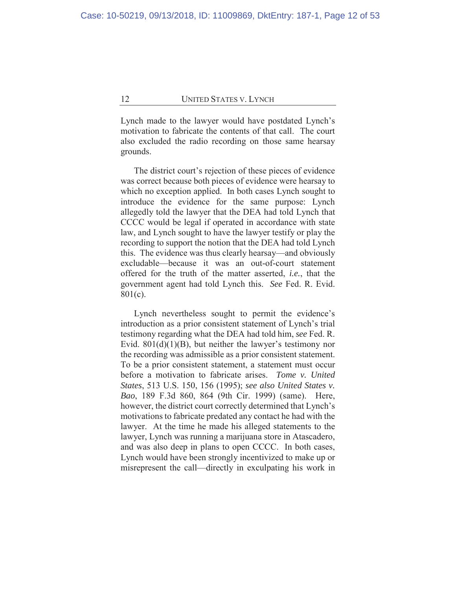Lynch made to the lawyer would have postdated Lynch's motivation to fabricate the contents of that call. The court also excluded the radio recording on those same hearsay grounds.

The district court's rejection of these pieces of evidence was correct because both pieces of evidence were hearsay to which no exception applied. In both cases Lynch sought to introduce the evidence for the same purpose: Lynch allegedly told the lawyer that the DEA had told Lynch that CCCC would be legal if operated in accordance with state law, and Lynch sought to have the lawyer testify or play the recording to support the notion that the DEA had told Lynch this. The evidence was thus clearly hearsay—and obviously excludable—because it was an out-of-court statement offered for the truth of the matter asserted, *i.e.*, that the government agent had told Lynch this. *See* Fed. R. Evid. 801(c).

Lynch nevertheless sought to permit the evidence's introduction as a prior consistent statement of Lynch's trial testimony regarding what the DEA had told him, *see* Fed. R. Evid.  $801(d)(1)(B)$ , but neither the lawyer's testimony nor the recording was admissible as a prior consistent statement. To be a prior consistent statement, a statement must occur before a motivation to fabricate arises. *Tome v. United States*, 513 U.S. 150, 156 (1995); *see also United States v. Bao*, 189 F.3d 860, 864 (9th Cir. 1999) (same). Here, however, the district court correctly determined that Lynch's motivations to fabricate predated any contact he had with the lawyer. At the time he made his alleged statements to the lawyer, Lynch was running a marijuana store in Atascadero, and was also deep in plans to open CCCC. In both cases, Lynch would have been strongly incentivized to make up or misrepresent the call—directly in exculpating his work in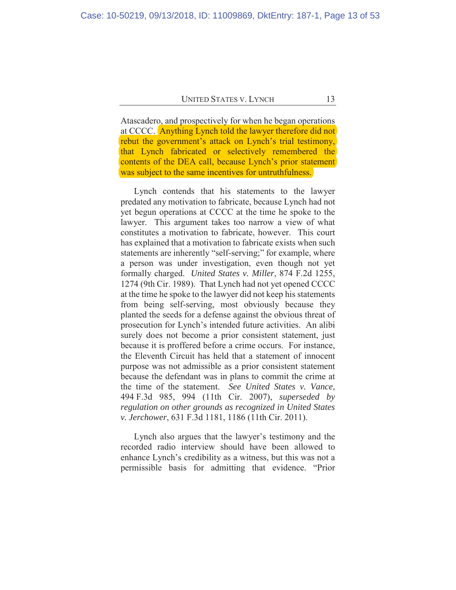Atascadero, and prospectively for when he began operations at CCCC. Anything Lynch told the lawyer therefore did not rebut the government's attack on Lynch's trial testimony, that Lynch fabricated or selectively remembered the contents of the DEA call, because Lynch's prior statement was subject to the same incentives for untruthfulness.

Lynch contends that his statements to the lawyer predated any motivation to fabricate, because Lynch had not yet begun operations at CCCC at the time he spoke to the lawyer. This argument takes too narrow a view of what constitutes a motivation to fabricate, however. This court has explained that a motivation to fabricate exists when such statements are inherently "self-serving;" for example, where a person was under investigation, even though not yet formally charged. *United States v. Miller*, 874 F.2d 1255, 1274 (9th Cir. 1989). That Lynch had not yet opened CCCC at the time he spoke to the lawyer did not keep his statements from being self-serving, most obviously because they planted the seeds for a defense against the obvious threat of prosecution for Lynch's intended future activities. An alibi surely does not become a prior consistent statement, just because it is proffered before a crime occurs. For instance, the Eleventh Circuit has held that a statement of innocent purpose was not admissible as a prior consistent statement because the defendant was in plans to commit the crime at the time of the statement. *See United States v. Vance*, 494 F.3d 985, 994 (11th Cir. 2007), *superseded by regulation on other grounds as recognized in United States v. Jerchower*, 631 F.3d 1181, 1186 (11th Cir. 2011).

Lynch also argues that the lawyer's testimony and the recorded radio interview should have been allowed to enhance Lynch's credibility as a witness, but this was not a permissible basis for admitting that evidence. "Prior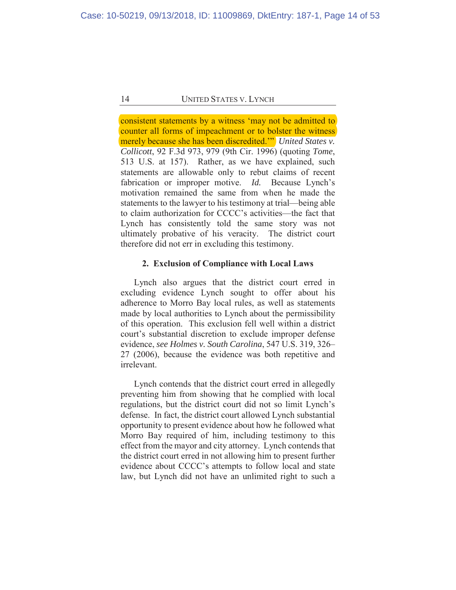consistent statements by a witness 'may not be admitted to counter all forms of impeachment or to bolster the witness merely because she has been discredited.'" *United States v. Collicott*, 92 F.3d 973, 979 (9th Cir. 1996) (quoting *Tome*, 513 U.S. at 157). Rather, as we have explained, such statements are allowable only to rebut claims of recent fabrication or improper motive. *Id.* Because Lynch's motivation remained the same from when he made the statements to the lawyer to his testimony at trial—being able to claim authorization for CCCC's activities—the fact that Lynch has consistently told the same story was not ultimately probative of his veracity. The district court therefore did not err in excluding this testimony.

## **2. Exclusion of Compliance with Local Laws**

Lynch also argues that the district court erred in excluding evidence Lynch sought to offer about his adherence to Morro Bay local rules, as well as statements made by local authorities to Lynch about the permissibility of this operation. This exclusion fell well within a district court's substantial discretion to exclude improper defense evidence, *see Holmes v. South Carolina*, 547 U.S. 319, 326– 27 (2006), because the evidence was both repetitive and irrelevant.

Lynch contends that the district court erred in allegedly preventing him from showing that he complied with local regulations, but the district court did not so limit Lynch's defense. In fact, the district court allowed Lynch substantial opportunity to present evidence about how he followed what Morro Bay required of him, including testimony to this effect from the mayor and city attorney. Lynch contends that the district court erred in not allowing him to present further evidence about CCCC's attempts to follow local and state law, but Lynch did not have an unlimited right to such a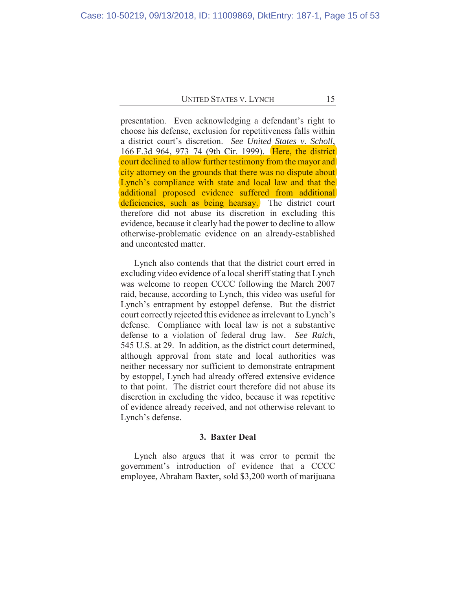presentation. Even acknowledging a defendant's right to choose his defense, exclusion for repetitiveness falls within a district court's discretion. *See United States v. Scholl*, 166 F.3d 964, 973–74 (9th Cir. 1999). Here, the district court declined to allow further testimony from the mayor and city attorney on the grounds that there was no dispute about Lynch's compliance with state and local law and that the additional proposed evidence suffered from additional deficiencies, such as being hearsay. The district court therefore did not abuse its discretion in excluding this evidence, because it clearly had the power to decline to allow otherwise-problematic evidence on an already-established and uncontested matter.

Lynch also contends that that the district court erred in excluding video evidence of a local sheriff stating that Lynch was welcome to reopen CCCC following the March 2007 raid, because, according to Lynch, this video was useful for Lynch's entrapment by estoppel defense. But the district court correctly rejected this evidence as irrelevant to Lynch's defense. Compliance with local law is not a substantive defense to a violation of federal drug law. *See Raich*, 545 U.S. at 29. In addition, as the district court determined, although approval from state and local authorities was neither necessary nor sufficient to demonstrate entrapment by estoppel, Lynch had already offered extensive evidence to that point. The district court therefore did not abuse its discretion in excluding the video, because it was repetitive of evidence already received, and not otherwise relevant to Lynch's defense.

#### **3. Baxter Deal**

Lynch also argues that it was error to permit the government's introduction of evidence that a CCCC employee, Abraham Baxter, sold \$3,200 worth of marijuana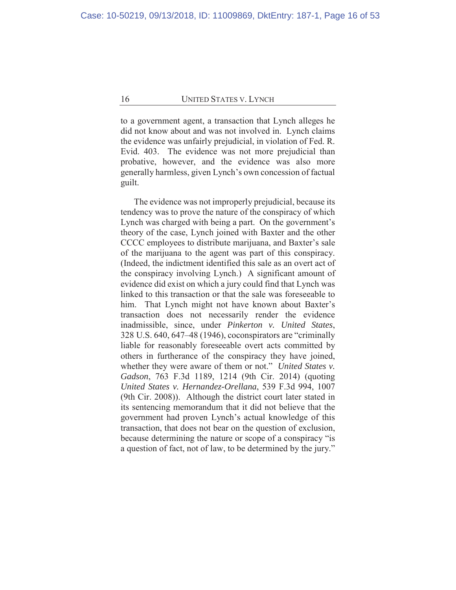to a government agent, a transaction that Lynch alleges he did not know about and was not involved in. Lynch claims the evidence was unfairly prejudicial, in violation of Fed. R. Evid. 403. The evidence was not more prejudicial than probative, however, and the evidence was also more generally harmless, given Lynch's own concession of factual guilt.

The evidence was not improperly prejudicial, because its tendency was to prove the nature of the conspiracy of which Lynch was charged with being a part. On the government's theory of the case, Lynch joined with Baxter and the other CCCC employees to distribute marijuana, and Baxter's sale of the marijuana to the agent was part of this conspiracy. (Indeed, the indictment identified this sale as an overt act of the conspiracy involving Lynch.) A significant amount of evidence did exist on which a jury could find that Lynch was linked to this transaction or that the sale was foreseeable to him. That Lynch might not have known about Baxter's transaction does not necessarily render the evidence inadmissible, since, under *Pinkerton v. United States*, 328 U.S. 640, 647–48 (1946), coconspirators are "criminally liable for reasonably foreseeable overt acts committed by others in furtherance of the conspiracy they have joined, whether they were aware of them or not." *United States v. Gadson*, 763 F.3d 1189, 1214 (9th Cir. 2014) (quoting *United States v. Hernandez-Orellana*, 539 F.3d 994, 1007 (9th Cir. 2008)). Although the district court later stated in its sentencing memorandum that it did not believe that the government had proven Lynch's actual knowledge of this transaction, that does not bear on the question of exclusion, because determining the nature or scope of a conspiracy "is a question of fact, not of law, to be determined by the jury."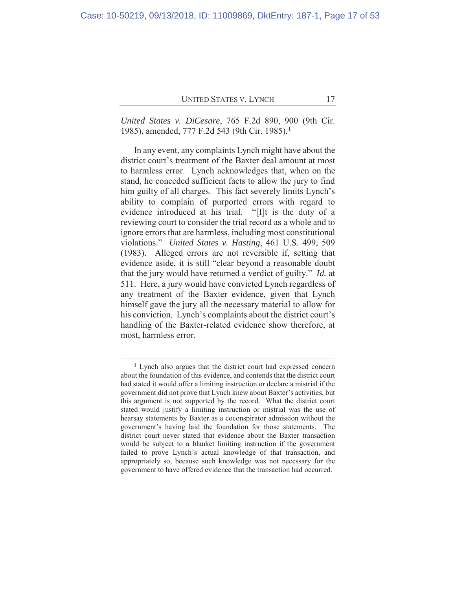*United States v. DiCesare*, 765 F.2d 890, 900 (9th Cir. 1985), amended, 777 F.2d 543 (9th Cir. 1985)*.* **1**

In any event, any complaints Lynch might have about the district court's treatment of the Baxter deal amount at most to harmless error. Lynch acknowledges that, when on the stand, he conceded sufficient facts to allow the jury to find him guilty of all charges. This fact severely limits Lynch's ability to complain of purported errors with regard to evidence introduced at his trial. "[I]t is the duty of a reviewing court to consider the trial record as a whole and to ignore errors that are harmless, including most constitutional violations." *United States v. Hasting*, 461 U.S. 499, 509 (1983). Alleged errors are not reversible if, setting that evidence aside, it is still "clear beyond a reasonable doubt that the jury would have returned a verdict of guilty." *Id.* at 511. Here, a jury would have convicted Lynch regardless of any treatment of the Baxter evidence, given that Lynch himself gave the jury all the necessary material to allow for his conviction. Lynch's complaints about the district court's handling of the Baxter-related evidence show therefore, at most, harmless error.

**<sup>1</sup>** Lynch also argues that the district court had expressed concern about the foundation of this evidence, and contends that the district court had stated it would offer a limiting instruction or declare a mistrial if the government did not prove that Lynch knew about Baxter's activities, but this argument is not supported by the record. What the district court stated would justify a limiting instruction or mistrial was the use of hearsay statements by Baxter as a coconspirator admission without the government's having laid the foundation for those statements. The district court never stated that evidence about the Baxter transaction would be subject to a blanket limiting instruction if the government failed to prove Lynch's actual knowledge of that transaction, and appropriately so, because such knowledge was not necessary for the government to have offered evidence that the transaction had occurred.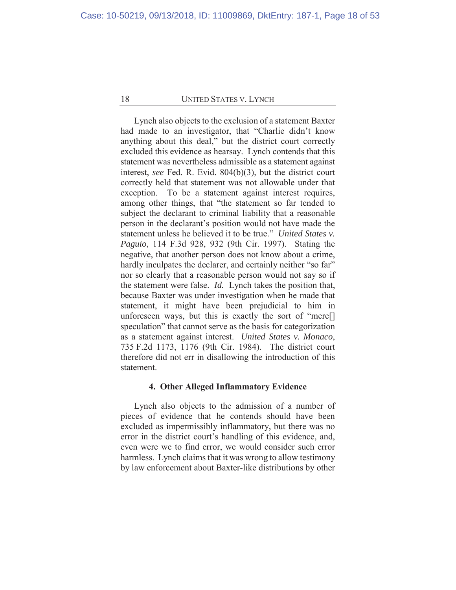Lynch also objects to the exclusion of a statement Baxter had made to an investigator, that "Charlie didn't know anything about this deal," but the district court correctly excluded this evidence as hearsay. Lynch contends that this statement was nevertheless admissible as a statement against interest, *see* Fed. R. Evid. 804(b)(3), but the district court correctly held that statement was not allowable under that exception. To be a statement against interest requires, among other things, that "the statement so far tended to subject the declarant to criminal liability that a reasonable person in the declarant's position would not have made the statement unless he believed it to be true." *United States v. Paguio*, 114 F.3d 928, 932 (9th Cir. 1997). Stating the negative, that another person does not know about a crime, hardly inculpates the declarer, and certainly neither "so far" nor so clearly that a reasonable person would not say so if the statement were false. *Id.* Lynch takes the position that, because Baxter was under investigation when he made that statement, it might have been prejudicial to him in unforeseen ways, but this is exactly the sort of "mere[] speculation" that cannot serve as the basis for categorization as a statement against interest. *United States v. Monaco*, 735 F.2d 1173, 1176 (9th Cir. 1984). The district court therefore did not err in disallowing the introduction of this statement.

#### **4. Other Alleged Inflammatory Evidence**

Lynch also objects to the admission of a number of pieces of evidence that he contends should have been excluded as impermissibly inflammatory, but there was no error in the district court's handling of this evidence, and, even were we to find error, we would consider such error harmless. Lynch claims that it was wrong to allow testimony by law enforcement about Baxter-like distributions by other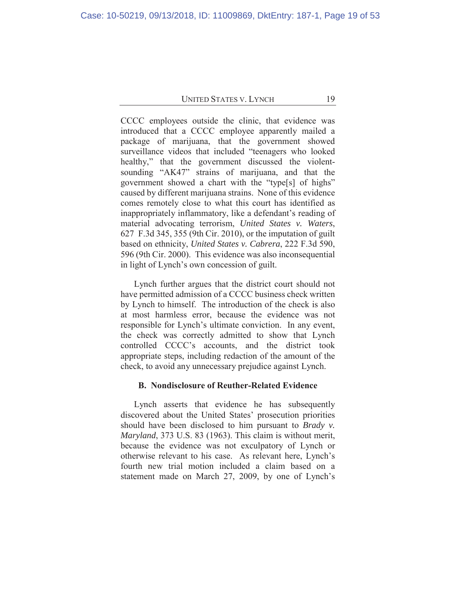CCCC employees outside the clinic, that evidence was introduced that a CCCC employee apparently mailed a package of marijuana, that the government showed surveillance videos that included "teenagers who looked healthy," that the government discussed the violentsounding "AK47" strains of marijuana, and that the government showed a chart with the "type[s] of highs" caused by different marijuana strains. None of this evidence comes remotely close to what this court has identified as inappropriately inflammatory, like a defendant's reading of material advocating terrorism, *United States v. Waters*, 627 F.3d 345, 355 (9th Cir. 2010), or the imputation of guilt based on ethnicity, *United States v. Cabrera*, 222 F.3d 590, 596 (9th Cir. 2000). This evidence was also inconsequential in light of Lynch's own concession of guilt.

Lynch further argues that the district court should not have permitted admission of a CCCC business check written by Lynch to himself. The introduction of the check is also at most harmless error, because the evidence was not responsible for Lynch's ultimate conviction. In any event, the check was correctly admitted to show that Lynch controlled CCCC's accounts, and the district took appropriate steps, including redaction of the amount of the check, to avoid any unnecessary prejudice against Lynch.

## **B. Nondisclosure of Reuther-Related Evidence**

Lynch asserts that evidence he has subsequently discovered about the United States' prosecution priorities should have been disclosed to him pursuant to *Brady v. Maryland*, 373 U.S. 83 (1963). This claim is without merit, because the evidence was not exculpatory of Lynch or otherwise relevant to his case. As relevant here, Lynch's fourth new trial motion included a claim based on a statement made on March 27, 2009, by one of Lynch's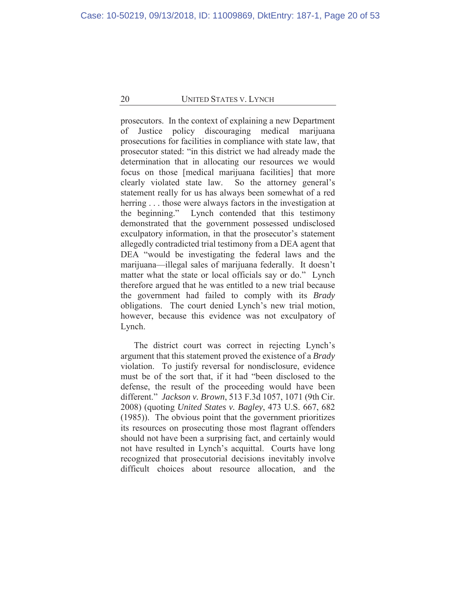prosecutors. In the context of explaining a new Department of Justice policy discouraging medical marijuana prosecutions for facilities in compliance with state law, that prosecutor stated: "in this district we had already made the determination that in allocating our resources we would focus on those [medical marijuana facilities] that more clearly violated state law. So the attorney general's statement really for us has always been somewhat of a red herring . . . those were always factors in the investigation at the beginning." Lynch contended that this testimony demonstrated that the government possessed undisclosed exculpatory information, in that the prosecutor's statement allegedly contradicted trial testimony from a DEA agent that DEA "would be investigating the federal laws and the marijuana—illegal sales of marijuana federally. It doesn't matter what the state or local officials say or do." Lynch therefore argued that he was entitled to a new trial because the government had failed to comply with its *Brady*  obligations. The court denied Lynch's new trial motion, however, because this evidence was not exculpatory of Lynch.

The district court was correct in rejecting Lynch's argument that this statement proved the existence of a *Brady*  violation. To justify reversal for nondisclosure, evidence must be of the sort that, if it had "been disclosed to the defense, the result of the proceeding would have been different." *Jackson v. Brown*, 513 F.3d 1057, 1071 (9th Cir. 2008) (quoting *United States v. Bagley*, 473 U.S. 667, 682 (1985)). The obvious point that the government prioritizes its resources on prosecuting those most flagrant offenders should not have been a surprising fact, and certainly would not have resulted in Lynch's acquittal. Courts have long recognized that prosecutorial decisions inevitably involve difficult choices about resource allocation, and the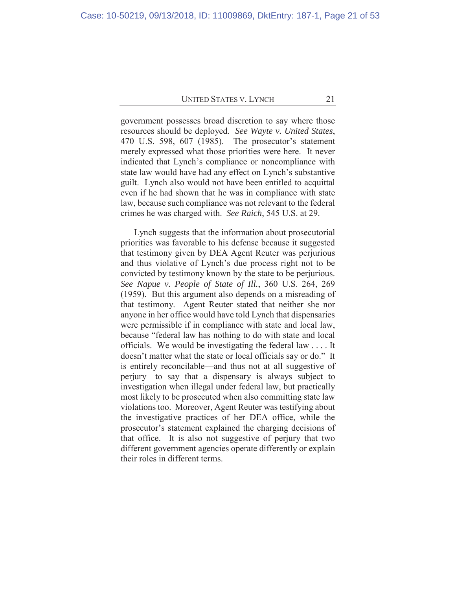government possesses broad discretion to say where those resources should be deployed. *See Wayte v. United States*, 470 U.S. 598, 607 (1985). The prosecutor's statement merely expressed what those priorities were here. It never indicated that Lynch's compliance or noncompliance with state law would have had any effect on Lynch's substantive guilt. Lynch also would not have been entitled to acquittal even if he had shown that he was in compliance with state law, because such compliance was not relevant to the federal crimes he was charged with. *See Raich*, 545 U.S. at 29.

Lynch suggests that the information about prosecutorial priorities was favorable to his defense because it suggested that testimony given by DEA Agent Reuter was perjurious and thus violative of Lynch's due process right not to be convicted by testimony known by the state to be perjurious. *See Napue v. People of State of Ill.*, 360 U.S. 264, 269 (1959). But this argument also depends on a misreading of that testimony. Agent Reuter stated that neither she nor anyone in her office would have told Lynch that dispensaries were permissible if in compliance with state and local law, because "federal law has nothing to do with state and local officials. We would be investigating the federal law . . . . It doesn't matter what the state or local officials say or do." It is entirely reconcilable—and thus not at all suggestive of perjury—to say that a dispensary is always subject to investigation when illegal under federal law, but practically most likely to be prosecuted when also committing state law violations too. Moreover, Agent Reuter was testifying about the investigative practices of her DEA office, while the prosecutor's statement explained the charging decisions of that office. It is also not suggestive of perjury that two different government agencies operate differently or explain their roles in different terms.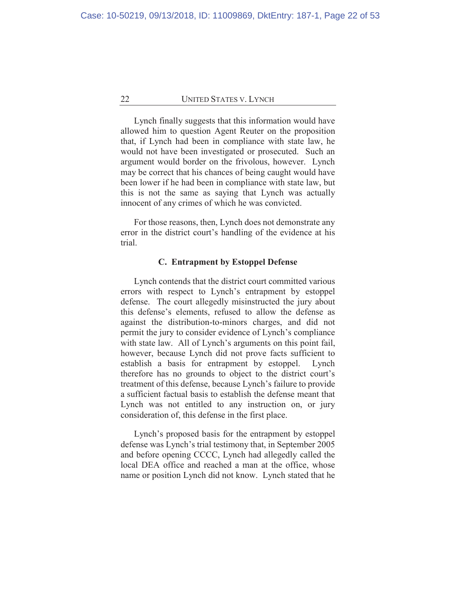Lynch finally suggests that this information would have allowed him to question Agent Reuter on the proposition that, if Lynch had been in compliance with state law, he would not have been investigated or prosecuted. Such an argument would border on the frivolous, however. Lynch may be correct that his chances of being caught would have been lower if he had been in compliance with state law, but this is not the same as saying that Lynch was actually innocent of any crimes of which he was convicted.

For those reasons, then, Lynch does not demonstrate any error in the district court's handling of the evidence at his trial.

#### **C. Entrapment by Estoppel Defense**

Lynch contends that the district court committed various errors with respect to Lynch's entrapment by estoppel defense. The court allegedly misinstructed the jury about this defense's elements, refused to allow the defense as against the distribution-to-minors charges, and did not permit the jury to consider evidence of Lynch's compliance with state law. All of Lynch's arguments on this point fail, however, because Lynch did not prove facts sufficient to establish a basis for entrapment by estoppel. Lynch therefore has no grounds to object to the district court's treatment of this defense, because Lynch's failure to provide a sufficient factual basis to establish the defense meant that Lynch was not entitled to any instruction on, or jury consideration of, this defense in the first place.

Lynch's proposed basis for the entrapment by estoppel defense was Lynch's trial testimony that, in September 2005 and before opening CCCC, Lynch had allegedly called the local DEA office and reached a man at the office, whose name or position Lynch did not know. Lynch stated that he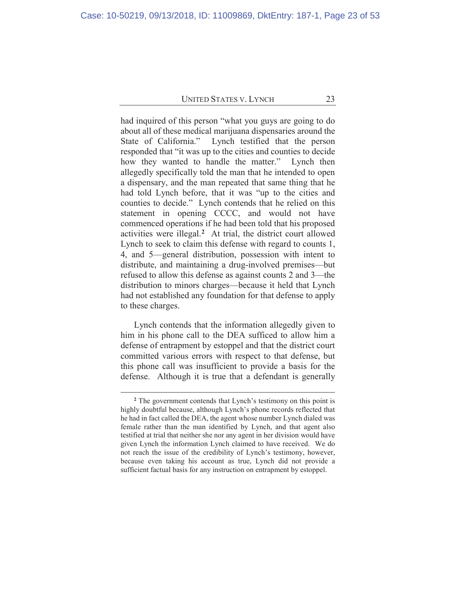had inquired of this person "what you guys are going to do about all of these medical marijuana dispensaries around the State of California." Lynch testified that the person responded that "it was up to the cities and counties to decide how they wanted to handle the matter." Lynch then allegedly specifically told the man that he intended to open a dispensary, and the man repeated that same thing that he had told Lynch before, that it was "up to the cities and counties to decide." Lynch contends that he relied on this statement in opening CCCC, and would not have commenced operations if he had been told that his proposed activities were illegal.**<sup>2</sup>** At trial, the district court allowed Lynch to seek to claim this defense with regard to counts 1, 4, and 5—general distribution, possession with intent to distribute, and maintaining a drug-involved premises—but refused to allow this defense as against counts 2 and 3—the distribution to minors charges—because it held that Lynch had not established any foundation for that defense to apply to these charges.

Lynch contends that the information allegedly given to him in his phone call to the DEA sufficed to allow him a defense of entrapment by estoppel and that the district court committed various errors with respect to that defense, but this phone call was insufficient to provide a basis for the defense. Although it is true that a defendant is generally

**<sup>2</sup>** The government contends that Lynch's testimony on this point is highly doubtful because, although Lynch's phone records reflected that he had in fact called the DEA, the agent whose number Lynch dialed was female rather than the man identified by Lynch, and that agent also testified at trial that neither she nor any agent in her division would have given Lynch the information Lynch claimed to have received. We do not reach the issue of the credibility of Lynch's testimony, however, because even taking his account as true, Lynch did not provide a sufficient factual basis for any instruction on entrapment by estoppel.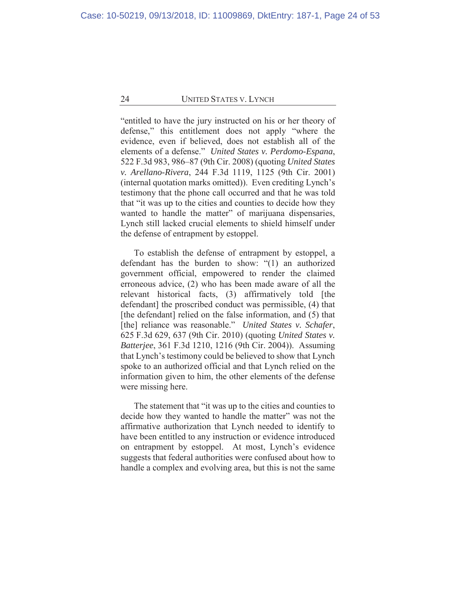"entitled to have the jury instructed on his or her theory of defense," this entitlement does not apply "where the evidence, even if believed, does not establish all of the elements of a defense." *United States v. Perdomo-Espana*, 522 F.3d 983, 986–87 (9th Cir. 2008) (quoting *United States v. Arellano-Rivera*, 244 F.3d 1119, 1125 (9th Cir. 2001) (internal quotation marks omitted)). Even crediting Lynch's testimony that the phone call occurred and that he was told that "it was up to the cities and counties to decide how they wanted to handle the matter" of marijuana dispensaries, Lynch still lacked crucial elements to shield himself under the defense of entrapment by estoppel.

To establish the defense of entrapment by estoppel, a defendant has the burden to show: "(1) an authorized government official, empowered to render the claimed erroneous advice, (2) who has been made aware of all the relevant historical facts, (3) affirmatively told [the defendant] the proscribed conduct was permissible, (4) that [the defendant] relied on the false information, and (5) that [the] reliance was reasonable." *United States v. Schafer*, 625 F.3d 629, 637 (9th Cir. 2010) (quoting *United States v. Batterjee*, 361 F.3d 1210, 1216 (9th Cir. 2004)). Assuming that Lynch's testimony could be believed to show that Lynch spoke to an authorized official and that Lynch relied on the information given to him, the other elements of the defense were missing here.

The statement that "it was up to the cities and counties to decide how they wanted to handle the matter" was not the affirmative authorization that Lynch needed to identify to have been entitled to any instruction or evidence introduced on entrapment by estoppel. At most, Lynch's evidence suggests that federal authorities were confused about how to handle a complex and evolving area, but this is not the same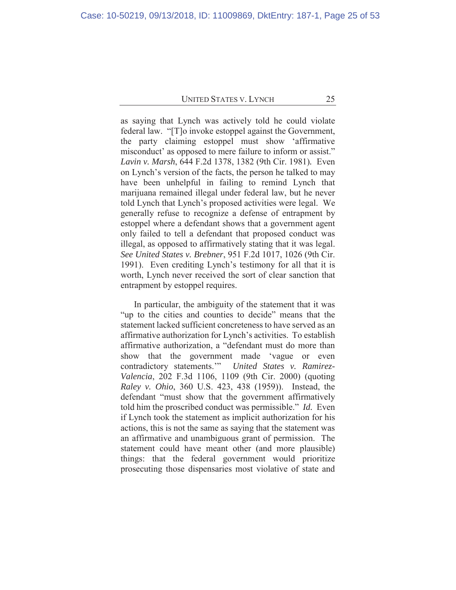as saying that Lynch was actively told he could violate federal law. "[T]o invoke estoppel against the Government, the party claiming estoppel must show 'affirmative misconduct' as opposed to mere failure to inform or assist." *Lavin v. Marsh*, 644 F.2d 1378, 1382 (9th Cir. 1981)*.* Even on Lynch's version of the facts, the person he talked to may have been unhelpful in failing to remind Lynch that marijuana remained illegal under federal law, but he never told Lynch that Lynch's proposed activities were legal. We generally refuse to recognize a defense of entrapment by estoppel where a defendant shows that a government agent only failed to tell a defendant that proposed conduct was illegal, as opposed to affirmatively stating that it was legal. *See United States v. Brebner*, 951 F.2d 1017, 1026 (9th Cir. 1991). Even crediting Lynch's testimony for all that it is worth, Lynch never received the sort of clear sanction that entrapment by estoppel requires.

In particular, the ambiguity of the statement that it was "up to the cities and counties to decide" means that the statement lacked sufficient concreteness to have served as an affirmative authorization for Lynch's activities. To establish affirmative authorization, a "defendant must do more than show that the government made 'vague or even contradictory statements.'" *United States v. Ramirez-Valencia*, 202 F.3d 1106, 1109 (9th Cir. 2000) (quoting *Raley v. Ohio*, 360 U.S. 423, 438 (1959)). Instead, the defendant "must show that the government affirmatively told him the proscribed conduct was permissible." *Id.* Even if Lynch took the statement as implicit authorization for his actions, this is not the same as saying that the statement was an affirmative and unambiguous grant of permission. The statement could have meant other (and more plausible) things: that the federal government would prioritize prosecuting those dispensaries most violative of state and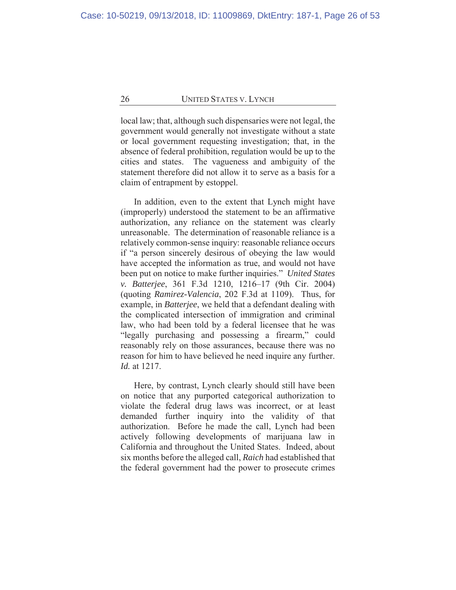local law; that, although such dispensaries were not legal, the government would generally not investigate without a state or local government requesting investigation; that, in the absence of federal prohibition, regulation would be up to the cities and states. The vagueness and ambiguity of the statement therefore did not allow it to serve as a basis for a claim of entrapment by estoppel.

In addition, even to the extent that Lynch might have (improperly) understood the statement to be an affirmative authorization, any reliance on the statement was clearly unreasonable. The determination of reasonable reliance is a relatively common-sense inquiry: reasonable reliance occurs if "a person sincerely desirous of obeying the law would have accepted the information as true, and would not have been put on notice to make further inquiries." *United States v. Batterjee*, 361 F.3d 1210, 1216–17 (9th Cir. 2004) (quoting *Ramirez-Valencia*, 202 F.3d at 1109). Thus, for example, in *Batterjee*, we held that a defendant dealing with the complicated intersection of immigration and criminal law, who had been told by a federal licensee that he was "legally purchasing and possessing a firearm," could reasonably rely on those assurances, because there was no reason for him to have believed he need inquire any further. *Id.* at 1217.

Here, by contrast, Lynch clearly should still have been on notice that any purported categorical authorization to violate the federal drug laws was incorrect, or at least demanded further inquiry into the validity of that authorization. Before he made the call, Lynch had been actively following developments of marijuana law in California and throughout the United States. Indeed, about six months before the alleged call, *Raich* had established that the federal government had the power to prosecute crimes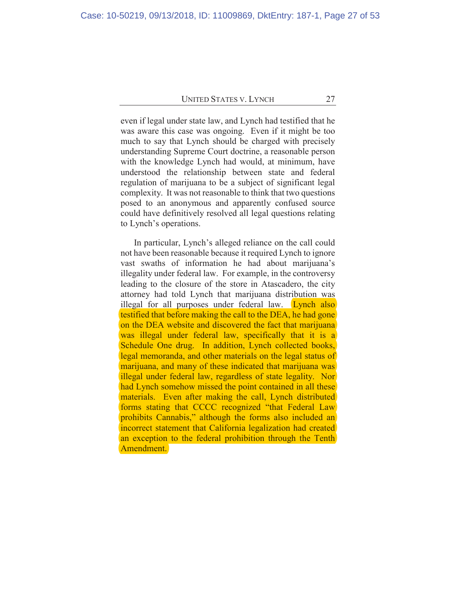even if legal under state law, and Lynch had testified that he was aware this case was ongoing. Even if it might be too much to say that Lynch should be charged with precisely understanding Supreme Court doctrine, a reasonable person with the knowledge Lynch had would, at minimum, have understood the relationship between state and federal regulation of marijuana to be a subject of significant legal complexity. It was not reasonable to think that two questions posed to an anonymous and apparently confused source could have definitively resolved all legal questions relating to Lynch's operations.

In particular, Lynch's alleged reliance on the call could not have been reasonable because it required Lynch to ignore vast swaths of information he had about marijuana's illegality under federal law. For example, in the controversy leading to the closure of the store in Atascadero, the city attorney had told Lynch that marijuana distribution was illegal for all purposes under federal law. **Lynch also** testified that before making the call to the DEA, he had gone on the DEA website and discovered the fact that marijuana was illegal under federal law, specifically that it is a Schedule One drug. In addition, Lynch collected books, legal memoranda, and other materials on the legal status of marijuana, and many of these indicated that marijuana was illegal under federal law, regardless of state legality. Nor had Lynch somehow missed the point contained in all these materials. Even after making the call, Lynch distributed forms stating that CCCC recognized "that Federal Law prohibits Cannabis," although the forms also included an incorrect statement that California legalization had created an exception to the federal prohibition through the Tenth Amendment.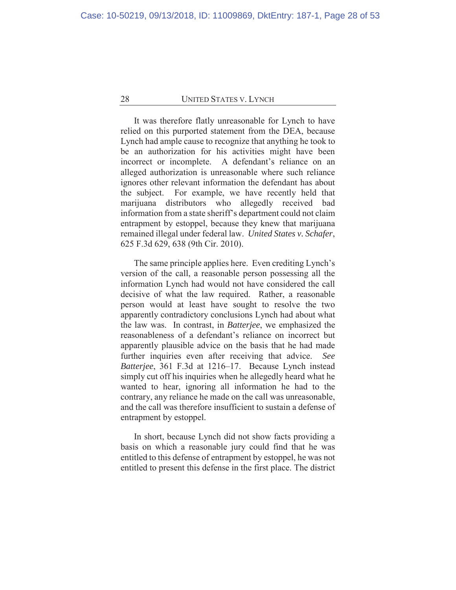It was therefore flatly unreasonable for Lynch to have relied on this purported statement from the DEA, because Lynch had ample cause to recognize that anything he took to be an authorization for his activities might have been incorrect or incomplete. A defendant's reliance on an alleged authorization is unreasonable where such reliance ignores other relevant information the defendant has about the subject. For example, we have recently held that marijuana distributors who allegedly received bad information from a state sheriff's department could not claim entrapment by estoppel, because they knew that marijuana remained illegal under federal law. *United States v. Schafer*, 625 F.3d 629, 638 (9th Cir. 2010).

The same principle applies here. Even crediting Lynch's version of the call, a reasonable person possessing all the information Lynch had would not have considered the call decisive of what the law required. Rather, a reasonable person would at least have sought to resolve the two apparently contradictory conclusions Lynch had about what the law was. In contrast, in *Batterjee*, we emphasized the reasonableness of a defendant's reliance on incorrect but apparently plausible advice on the basis that he had made further inquiries even after receiving that advice. *See Batterjee*, 361 F.3d at 1216–17. Because Lynch instead simply cut off his inquiries when he allegedly heard what he wanted to hear, ignoring all information he had to the contrary, any reliance he made on the call was unreasonable, and the call was therefore insufficient to sustain a defense of entrapment by estoppel.

In short, because Lynch did not show facts providing a basis on which a reasonable jury could find that he was entitled to this defense of entrapment by estoppel, he was not entitled to present this defense in the first place. The district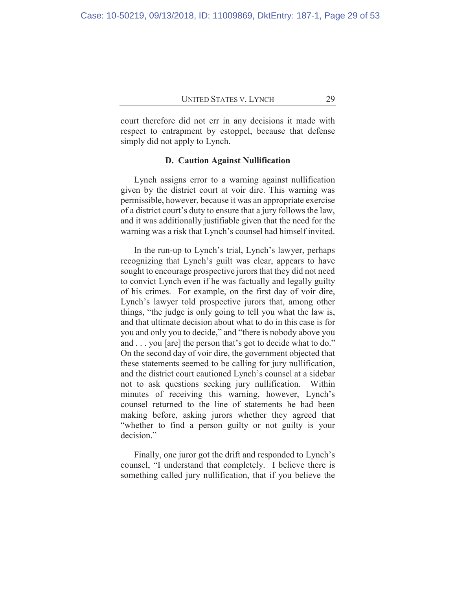court therefore did not err in any decisions it made with respect to entrapment by estoppel, because that defense simply did not apply to Lynch.

#### **D. Caution Against Nullification**

Lynch assigns error to a warning against nullification given by the district court at voir dire. This warning was permissible, however, because it was an appropriate exercise of a district court's duty to ensure that a jury follows the law, and it was additionally justifiable given that the need for the warning was a risk that Lynch's counsel had himself invited.

In the run-up to Lynch's trial, Lynch's lawyer, perhaps recognizing that Lynch's guilt was clear, appears to have sought to encourage prospective jurors that they did not need to convict Lynch even if he was factually and legally guilty of his crimes. For example, on the first day of voir dire, Lynch's lawyer told prospective jurors that, among other things, "the judge is only going to tell you what the law is, and that ultimate decision about what to do in this case is for you and only you to decide," and "there is nobody above you and . . . you [are] the person that's got to decide what to do." On the second day of voir dire, the government objected that these statements seemed to be calling for jury nullification, and the district court cautioned Lynch's counsel at a sidebar not to ask questions seeking jury nullification. Within minutes of receiving this warning, however, Lynch's counsel returned to the line of statements he had been making before, asking jurors whether they agreed that "whether to find a person guilty or not guilty is your decision."

Finally, one juror got the drift and responded to Lynch's counsel, "I understand that completely. I believe there is something called jury nullification, that if you believe the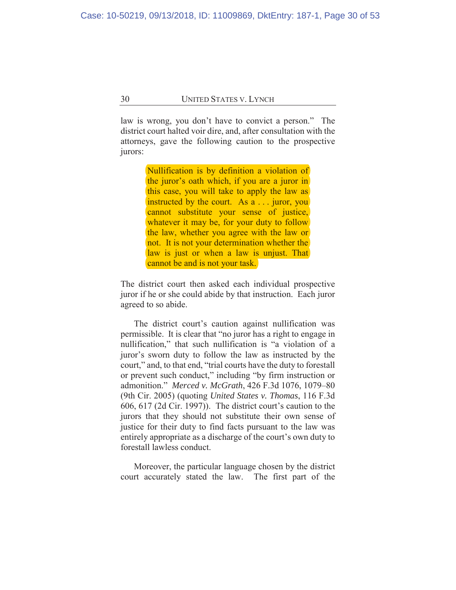law is wrong, you don't have to convict a person." The district court halted voir dire, and, after consultation with the attorneys, gave the following caution to the prospective jurors:

> Nullification is by definition a violation of the juror's oath which, if you are a juror in this case, you will take to apply the law as instructed by the court. As a . . . juror, you cannot substitute your sense of justice, whatever it may be, for your duty to follow the law, whether you agree with the law or not. It is not your determination whether the law is just or when a law is unjust. That cannot be and is not your task.

The district court then asked each individual prospective juror if he or she could abide by that instruction. Each juror agreed to so abide.

The district court's caution against nullification was permissible. It is clear that "no juror has a right to engage in nullification," that such nullification is "a violation of a juror's sworn duty to follow the law as instructed by the court," and, to that end, "trial courts have the duty to forestall or prevent such conduct," including "by firm instruction or admonition." *Merced v. McGrath*, 426 F.3d 1076, 1079–80 (9th Cir. 2005) (quoting *United States v. Thomas*, 116 F.3d 606, 617 (2d Cir. 1997)). The district court's caution to the jurors that they should not substitute their own sense of justice for their duty to find facts pursuant to the law was entirely appropriate as a discharge of the court's own duty to forestall lawless conduct.

Moreover, the particular language chosen by the district court accurately stated the law. The first part of the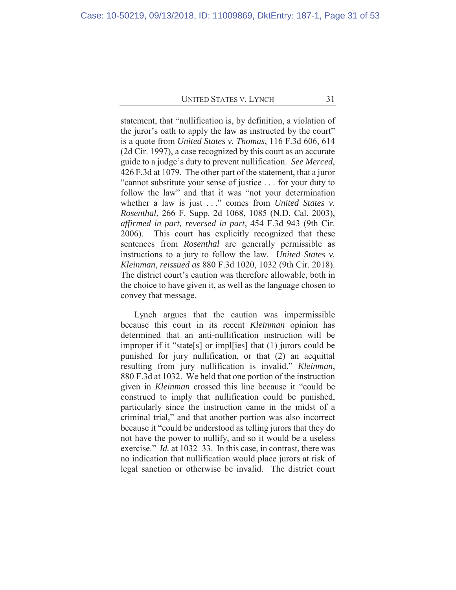statement, that "nullification is, by definition, a violation of the juror's oath to apply the law as instructed by the court" is a quote from *United States v. Thomas*, 116 F.3d 606, 614 (2d Cir. 1997), a case recognized by this court as an accurate guide to a judge's duty to prevent nullification. *See Merced*, 426 F.3d at 1079. The other part of the statement, that a juror "cannot substitute your sense of justice . . . for your duty to follow the law" and that it was "not your determination whether a law is just . . ." comes from *United States v. Rosenthal*, 266 F. Supp. 2d 1068, 1085 (N.D. Cal. 2003), *affirmed in part, reversed in part*, 454 F.3d 943 (9th Cir. 2006). This court has explicitly recognized that these sentences from *Rosenthal* are generally permissible as instructions to a jury to follow the law. *United States v. Kleinman*, *reissued as* 880 F.3d 1020, 1032 (9th Cir. 2018). The district court's caution was therefore allowable, both in the choice to have given it, as well as the language chosen to convey that message.

Lynch argues that the caution was impermissible because this court in its recent *Kleinman* opinion has determined that an anti-nullification instruction will be improper if it "state[s] or impl[ies] that (1) jurors could be punished for jury nullification, or that (2) an acquittal resulting from jury nullification is invalid." *Kleinman*, 880 F.3d at 1032. We held that one portion of the instruction given in *Kleinman* crossed this line because it "could be construed to imply that nullification could be punished, particularly since the instruction came in the midst of a criminal trial," and that another portion was also incorrect because it "could be understood as telling jurors that they do not have the power to nullify, and so it would be a useless exercise." *Id.* at 1032–33. In this case, in contrast, there was no indication that nullification would place jurors at risk of legal sanction or otherwise be invalid. The district court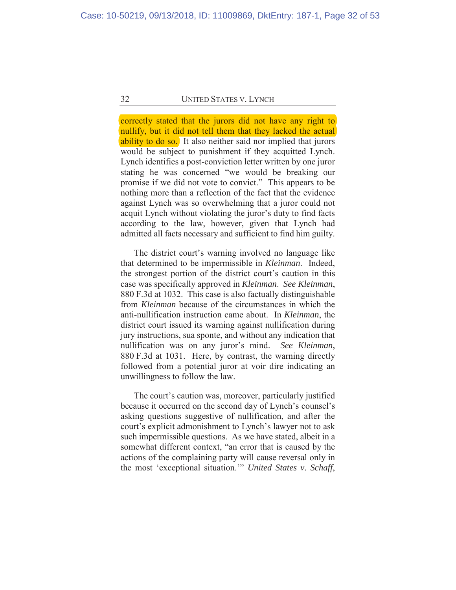correctly stated that the jurors did not have any right to nullify, but it did not tell them that they lacked the actual ability to do so. It also neither said nor implied that jurors would be subject to punishment if they acquitted Lynch. Lynch identifies a post-conviction letter written by one juror stating he was concerned "we would be breaking our promise if we did not vote to convict." This appears to be nothing more than a reflection of the fact that the evidence against Lynch was so overwhelming that a juror could not acquit Lynch without violating the juror's duty to find facts according to the law, however, given that Lynch had admitted all facts necessary and sufficient to find him guilty.

The district court's warning involved no language like that determined to be impermissible in *Kleinman*. Indeed, the strongest portion of the district court's caution in this case was specifically approved in *Kleinman*. *See Kleinman*, 880 F.3d at 1032. This case is also factually distinguishable from *Kleinman* because of the circumstances in which the anti-nullification instruction came about. In *Kleinman*, the district court issued its warning against nullification during jury instructions, sua sponte, and without any indication that nullification was on any juror's mind. *See Kleinman*, 880 F.3d at 1031. Here, by contrast, the warning directly followed from a potential juror at voir dire indicating an unwillingness to follow the law.

The court's caution was, moreover, particularly justified because it occurred on the second day of Lynch's counsel's asking questions suggestive of nullification, and after the court's explicit admonishment to Lynch's lawyer not to ask such impermissible questions. As we have stated, albeit in a somewhat different context, "an error that is caused by the actions of the complaining party will cause reversal only in the most 'exceptional situation.'" *United States v. Schaff*,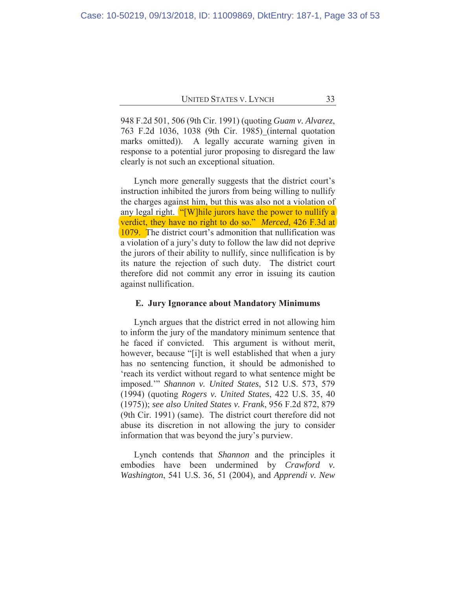948 F.2d 501, 506 (9th Cir. 1991) (quoting *Guam v. Alvarez*, 763 F.2d 1036, 1038 (9th Cir. 1985) (internal quotation marks omitted)). A legally accurate warning given in response to a potential juror proposing to disregard the law clearly is not such an exceptional situation.

Lynch more generally suggests that the district court's instruction inhibited the jurors from being willing to nullify the charges against him, but this was also not a violation of any legal right. "[W]hile jurors have the power to nullify a verdict, they have no right to do so." *Merced*, 426 F.3d at 1079. The district court's admonition that nullification was a violation of a jury's duty to follow the law did not deprive the jurors of their ability to nullify, since nullification is by its nature the rejection of such duty. The district court therefore did not commit any error in issuing its caution against nullification.

#### **E. Jury Ignorance about Mandatory Minimums**

Lynch argues that the district erred in not allowing him to inform the jury of the mandatory minimum sentence that he faced if convicted. This argument is without merit, however, because "[i]t is well established that when a jury has no sentencing function, it should be admonished to 'reach its verdict without regard to what sentence might be imposed.'" *Shannon v. United States*, 512 U.S. 573, 579 (1994) (quoting *Rogers v. United States*, 422 U.S. 35, 40 (1975)); *see also United States v. Frank*, 956 F.2d 872, 879 (9th Cir. 1991) (same). The district court therefore did not abuse its discretion in not allowing the jury to consider information that was beyond the jury's purview.

Lynch contends that *Shannon* and the principles it embodies have been undermined by *Crawford v. Washington*, 541 U.S. 36, 51 (2004), and *Apprendi v. New*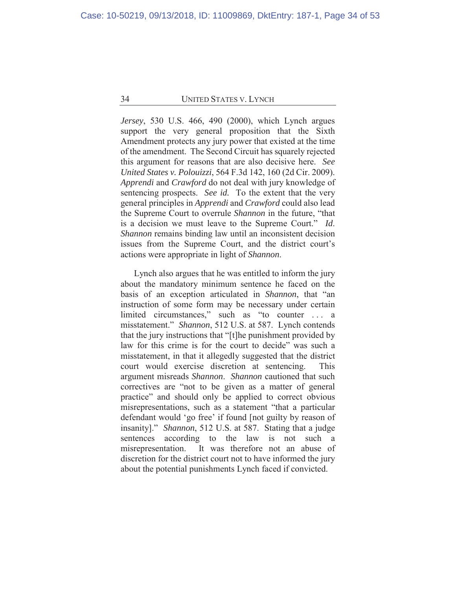*Jersey*, 530 U.S. 466, 490 (2000), which Lynch argues support the very general proposition that the Sixth Amendment protects any jury power that existed at the time of the amendment. The Second Circuit has squarely rejected this argument for reasons that are also decisive here. *See United States v. Polouizzi*, 564 F.3d 142, 160 (2d Cir. 2009). *Apprendi* and *Crawford* do not deal with jury knowledge of sentencing prospects. *See id.* To the extent that the very general principles in *Apprendi* and *Crawford* could also lead the Supreme Court to overrule *Shannon* in the future, "that is a decision we must leave to the Supreme Court." *Id*. *Shannon* remains binding law until an inconsistent decision issues from the Supreme Court, and the district court's actions were appropriate in light of *Shannon*.

Lynch also argues that he was entitled to inform the jury about the mandatory minimum sentence he faced on the basis of an exception articulated in *Shannon*, that "an instruction of some form may be necessary under certain limited circumstances," such as "to counter . . . a misstatement." *Shannon*, 512 U.S. at 587. Lynch contends that the jury instructions that "[t]he punishment provided by law for this crime is for the court to decide" was such a misstatement, in that it allegedly suggested that the district court would exercise discretion at sentencing. This argument misreads *Shannon*. *Shannon* cautioned that such correctives are "not to be given as a matter of general practice" and should only be applied to correct obvious misrepresentations, such as a statement "that a particular defendant would 'go free' if found [not guilty by reason of insanity]." *Shannon*, 512 U.S. at 587. Stating that a judge sentences according to the law is not such a misrepresentation. It was therefore not an abuse of discretion for the district court not to have informed the jury about the potential punishments Lynch faced if convicted.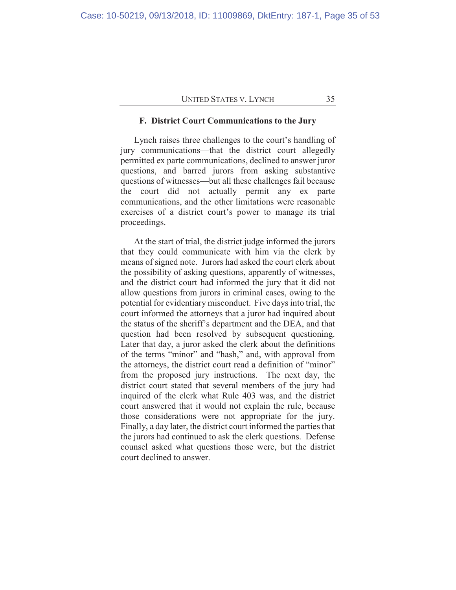#### **F. District Court Communications to the Jury**

Lynch raises three challenges to the court's handling of jury communications—that the district court allegedly permitted ex parte communications, declined to answer juror questions, and barred jurors from asking substantive questions of witnesses—but all these challenges fail because the court did not actually permit any ex parte communications, and the other limitations were reasonable exercises of a district court's power to manage its trial proceedings.

At the start of trial, the district judge informed the jurors that they could communicate with him via the clerk by means of signed note. Jurors had asked the court clerk about the possibility of asking questions, apparently of witnesses, and the district court had informed the jury that it did not allow questions from jurors in criminal cases, owing to the potential for evidentiary misconduct. Five days into trial, the court informed the attorneys that a juror had inquired about the status of the sheriff's department and the DEA, and that question had been resolved by subsequent questioning. Later that day, a juror asked the clerk about the definitions of the terms "minor" and "hash," and, with approval from the attorneys, the district court read a definition of "minor" from the proposed jury instructions. The next day, the district court stated that several members of the jury had inquired of the clerk what Rule 403 was, and the district court answered that it would not explain the rule, because those considerations were not appropriate for the jury. Finally, a day later, the district court informed the parties that the jurors had continued to ask the clerk questions. Defense counsel asked what questions those were, but the district court declined to answer.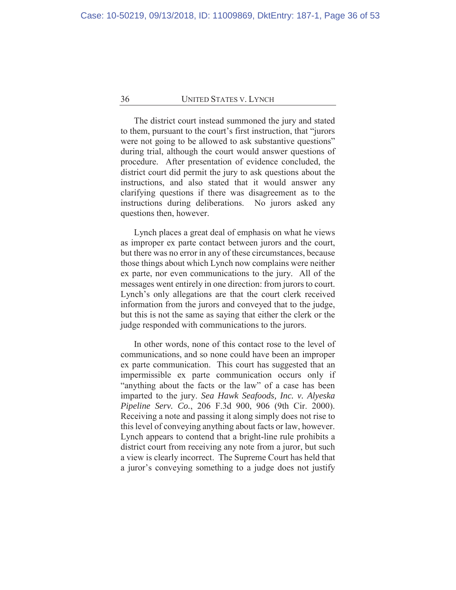The district court instead summoned the jury and stated to them, pursuant to the court's first instruction, that "jurors were not going to be allowed to ask substantive questions" during trial, although the court would answer questions of procedure. After presentation of evidence concluded, the district court did permit the jury to ask questions about the instructions, and also stated that it would answer any clarifying questions if there was disagreement as to the instructions during deliberations. No jurors asked any questions then, however.

Lynch places a great deal of emphasis on what he views as improper ex parte contact between jurors and the court, but there was no error in any of these circumstances, because those things about which Lynch now complains were neither ex parte, nor even communications to the jury. All of the messages went entirely in one direction: from jurors to court. Lynch's only allegations are that the court clerk received information from the jurors and conveyed that to the judge, but this is not the same as saying that either the clerk or the judge responded with communications to the jurors.

In other words, none of this contact rose to the level of communications, and so none could have been an improper ex parte communication. This court has suggested that an impermissible ex parte communication occurs only if "anything about the facts or the law" of a case has been imparted to the jury. *Sea Hawk Seafoods, Inc. v. Alyeska Pipeline Serv. Co.*, 206 F.3d 900, 906 (9th Cir. 2000). Receiving a note and passing it along simply does not rise to this level of conveying anything about facts or law, however. Lynch appears to contend that a bright-line rule prohibits a district court from receiving any note from a juror, but such a view is clearly incorrect. The Supreme Court has held that a juror's conveying something to a judge does not justify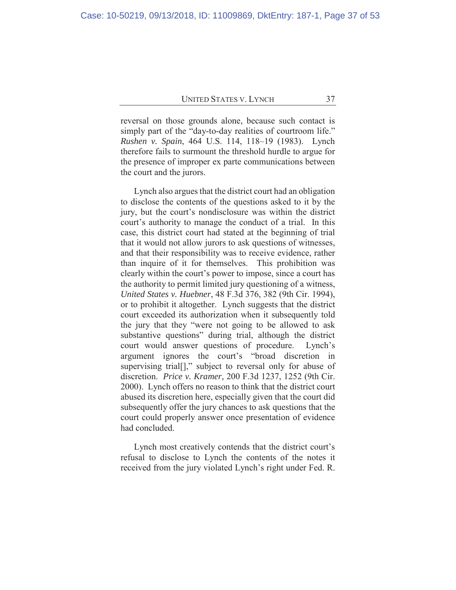reversal on those grounds alone, because such contact is simply part of the "day-to-day realities of courtroom life." *Rushen v. Spain*, 464 U.S. 114, 118–19 (1983). Lynch therefore fails to surmount the threshold hurdle to argue for the presence of improper ex parte communications between the court and the jurors.

Lynch also argues that the district court had an obligation to disclose the contents of the questions asked to it by the jury, but the court's nondisclosure was within the district court's authority to manage the conduct of a trial. In this case, this district court had stated at the beginning of trial that it would not allow jurors to ask questions of witnesses, and that their responsibility was to receive evidence, rather than inquire of it for themselves. This prohibition was clearly within the court's power to impose, since a court has the authority to permit limited jury questioning of a witness, *United States v. Huebner*, 48 F.3d 376, 382 (9th Cir. 1994), or to prohibit it altogether. Lynch suggests that the district court exceeded its authorization when it subsequently told the jury that they "were not going to be allowed to ask substantive questions" during trial, although the district court would answer questions of procedure. Lynch's argument ignores the court's "broad discretion in supervising trial[]," subject to reversal only for abuse of discretion. *Price v. Kramer*, 200 F.3d 1237, 1252 (9th Cir. 2000). Lynch offers no reason to think that the district court abused its discretion here, especially given that the court did subsequently offer the jury chances to ask questions that the court could properly answer once presentation of evidence had concluded.

Lynch most creatively contends that the district court's refusal to disclose to Lynch the contents of the notes it received from the jury violated Lynch's right under Fed. R.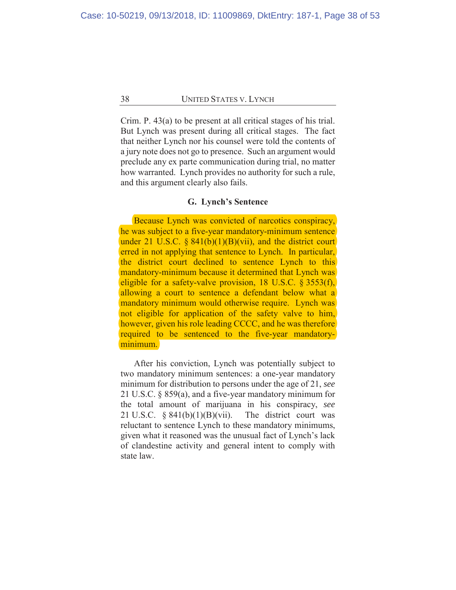Crim. P. 43(a) to be present at all critical stages of his trial. But Lynch was present during all critical stages. The fact that neither Lynch nor his counsel were told the contents of a jury note does not go to presence. Such an argument would preclude any ex parte communication during trial, no matter how warranted. Lynch provides no authority for such a rule, and this argument clearly also fails.

## **G. Lynch's Sentence**

Because Lynch was convicted of narcotics conspiracy, he was subject to a five-year mandatory-minimum sentence under 21 U.S.C.  $\S 841(b)(1)(B)(vii)$ , and the district court erred in not applying that sentence to Lynch. In particular, the district court declined to sentence Lynch to this mandatory-minimum because it determined that Lynch was eligible for a safety-valve provision, 18 U.S.C. § 3553(f), allowing a court to sentence a defendant below what a mandatory minimum would otherwise require. Lynch was not eligible for application of the safety valve to him, however, given his role leading CCCC, and he was therefore required to be sentenced to the five-year mandatoryminimum.

After his conviction, Lynch was potentially subject to two mandatory minimum sentences: a one-year mandatory minimum for distribution to persons under the age of 21, *see*  21 U.S.C. § 859(a), and a five-year mandatory minimum for the total amount of marijuana in his conspiracy, *see*  21 U.S.C.  $\S 841(b)(1)(B)(vii)$ . The district court was reluctant to sentence Lynch to these mandatory minimums, given what it reasoned was the unusual fact of Lynch's lack of clandestine activity and general intent to comply with state law.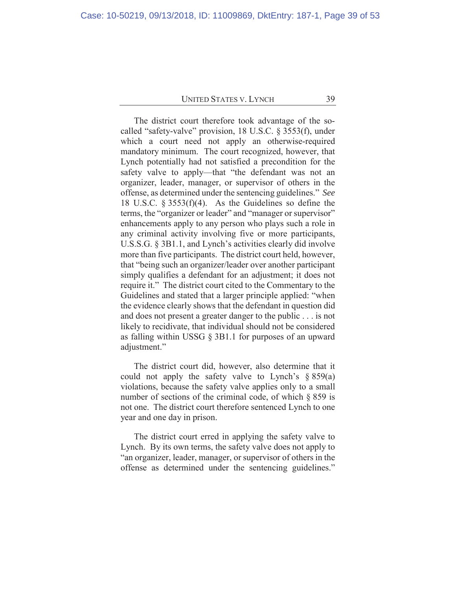The district court therefore took advantage of the socalled "safety-valve" provision, 18 U.S.C. § 3553(f), under which a court need not apply an otherwise-required mandatory minimum. The court recognized, however, that Lynch potentially had not satisfied a precondition for the safety valve to apply—that "the defendant was not an organizer, leader, manager, or supervisor of others in the offense, as determined under the sentencing guidelines." *See* 18 U.S.C. § 3553(f)(4). As the Guidelines so define the terms, the "organizer or leader" and "manager or supervisor" enhancements apply to any person who plays such a role in any criminal activity involving five or more participants, U.S.S.G. § 3B1.1, and Lynch's activities clearly did involve more than five participants. The district court held, however, that "being such an organizer/leader over another participant simply qualifies a defendant for an adjustment; it does not require it." The district court cited to the Commentary to the Guidelines and stated that a larger principle applied: "when the evidence clearly shows that the defendant in question did and does not present a greater danger to the public . . . is not likely to recidivate, that individual should not be considered as falling within USSG § 3B1.1 for purposes of an upward adjustment."

The district court did, however, also determine that it could not apply the safety valve to Lynch's  $\S 859(a)$ violations, because the safety valve applies only to a small number of sections of the criminal code, of which § 859 is not one. The district court therefore sentenced Lynch to one year and one day in prison.

The district court erred in applying the safety valve to Lynch. By its own terms, the safety valve does not apply to "an organizer, leader, manager, or supervisor of others in the offense as determined under the sentencing guidelines."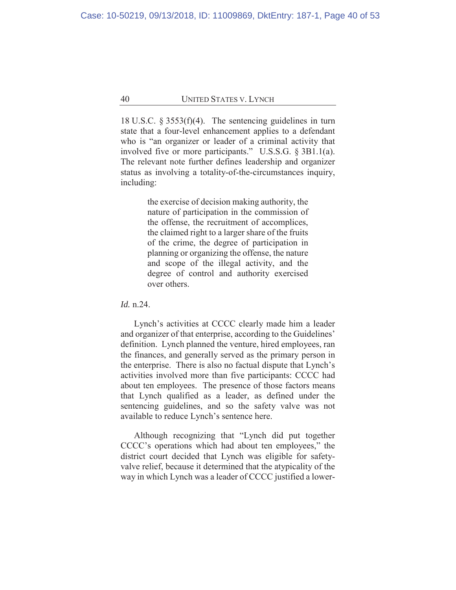18 U.S.C. § 3553(f)(4). The sentencing guidelines in turn state that a four-level enhancement applies to a defendant who is "an organizer or leader of a criminal activity that involved five or more participants." U.S.S.G. § 3B1.1(a). The relevant note further defines leadership and organizer status as involving a totality-of-the-circumstances inquiry, including:

> the exercise of decision making authority, the nature of participation in the commission of the offense, the recruitment of accomplices, the claimed right to a larger share of the fruits of the crime, the degree of participation in planning or organizing the offense, the nature and scope of the illegal activity, and the degree of control and authority exercised over others.

#### *Id.* n.24.

Lynch's activities at CCCC clearly made him a leader and organizer of that enterprise, according to the Guidelines' definition. Lynch planned the venture, hired employees, ran the finances, and generally served as the primary person in the enterprise. There is also no factual dispute that Lynch's activities involved more than five participants: CCCC had about ten employees. The presence of those factors means that Lynch qualified as a leader, as defined under the sentencing guidelines, and so the safety valve was not available to reduce Lynch's sentence here.

Although recognizing that "Lynch did put together CCCC's operations which had about ten employees," the district court decided that Lynch was eligible for safetyvalve relief, because it determined that the atypicality of the way in which Lynch was a leader of CCCC justified a lower-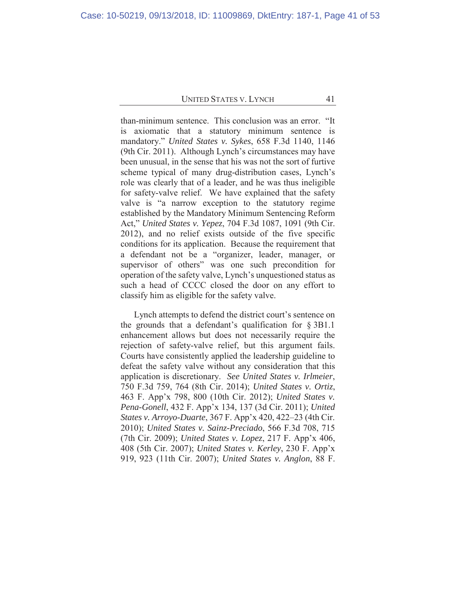than-minimum sentence. This conclusion was an error. "It is axiomatic that a statutory minimum sentence is mandatory." *United States v. Sykes*, 658 F.3d 1140, 1146 (9th Cir. 2011). Although Lynch's circumstances may have been unusual, in the sense that his was not the sort of furtive scheme typical of many drug-distribution cases, Lynch's role was clearly that of a leader, and he was thus ineligible for safety-valve relief. We have explained that the safety valve is "a narrow exception to the statutory regime established by the Mandatory Minimum Sentencing Reform Act," *United States v. Yepez*, 704 F.3d 1087, 1091 (9th Cir. 2012), and no relief exists outside of the five specific conditions for its application. Because the requirement that a defendant not be a "organizer, leader, manager, or supervisor of others" was one such precondition for operation of the safety valve, Lynch's unquestioned status as such a head of CCCC closed the door on any effort to classify him as eligible for the safety valve.

Lynch attempts to defend the district court's sentence on the grounds that a defendant's qualification for  $\S 3B1.1$ enhancement allows but does not necessarily require the rejection of safety-valve relief, but this argument fails. Courts have consistently applied the leadership guideline to defeat the safety valve without any consideration that this application is discretionary. *See United States v. Irlmeier*, 750 F.3d 759, 764 (8th Cir. 2014); *United States v. Ortiz*, 463 F. App'x 798, 800 (10th Cir. 2012); *United States v. Pena-Gonell*, 432 F. App'x 134, 137 (3d Cir. 2011); *United States v. Arroyo-Duarte*, 367 F. App'x 420, 422–23 (4th Cir. 2010); *United States v. Sainz-Preciado*, 566 F.3d 708, 715 (7th Cir. 2009); *United States v. Lopez*, 217 F. App'x 406, 408 (5th Cir. 2007); *United States v. Kerley*, 230 F. App'x 919, 923 (11th Cir. 2007); *United States v. Anglon*, 88 F.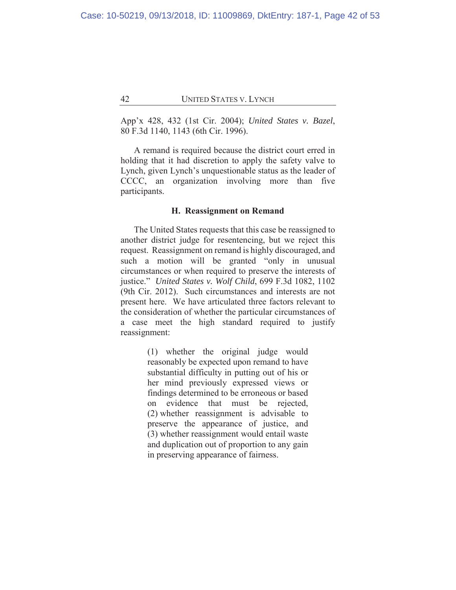App'x 428, 432 (1st Cir. 2004); *United States v. Bazel*, 80 F.3d 1140, 1143 (6th Cir. 1996).

A remand is required because the district court erred in holding that it had discretion to apply the safety valve to Lynch, given Lynch's unquestionable status as the leader of CCCC, an organization involving more than five participants.

#### **H. Reassignment on Remand**

The United States requests that this case be reassigned to another district judge for resentencing, but we reject this request. Reassignment on remand is highly discouraged, and such a motion will be granted "only in unusual circumstances or when required to preserve the interests of justice." *United States v. Wolf Child*, 699 F.3d 1082, 1102 (9th Cir. 2012). Such circumstances and interests are not present here. We have articulated three factors relevant to the consideration of whether the particular circumstances of a case meet the high standard required to justify reassignment:

> (1) whether the original judge would reasonably be expected upon remand to have substantial difficulty in putting out of his or her mind previously expressed views or findings determined to be erroneous or based on evidence that must be rejected, (2) whether reassignment is advisable to preserve the appearance of justice, and (3) whether reassignment would entail waste and duplication out of proportion to any gain in preserving appearance of fairness.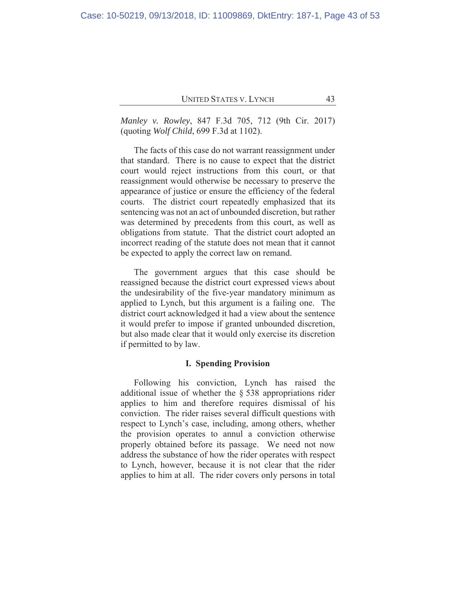*Manley v. Rowley*, 847 F.3d 705, 712 (9th Cir. 2017) (quoting *Wolf Child*, 699 F.3d at 1102).

The facts of this case do not warrant reassignment under that standard. There is no cause to expect that the district court would reject instructions from this court, or that reassignment would otherwise be necessary to preserve the appearance of justice or ensure the efficiency of the federal courts. The district court repeatedly emphasized that its sentencing was not an act of unbounded discretion, but rather was determined by precedents from this court, as well as obligations from statute. That the district court adopted an incorrect reading of the statute does not mean that it cannot be expected to apply the correct law on remand.

The government argues that this case should be reassigned because the district court expressed views about the undesirability of the five-year mandatory minimum as applied to Lynch, but this argument is a failing one. The district court acknowledged it had a view about the sentence it would prefer to impose if granted unbounded discretion, but also made clear that it would only exercise its discretion if permitted to by law.

#### **I. Spending Provision**

Following his conviction, Lynch has raised the additional issue of whether the § 538 appropriations rider applies to him and therefore requires dismissal of his conviction. The rider raises several difficult questions with respect to Lynch's case, including, among others, whether the provision operates to annul a conviction otherwise properly obtained before its passage. We need not now address the substance of how the rider operates with respect to Lynch, however, because it is not clear that the rider applies to him at all. The rider covers only persons in total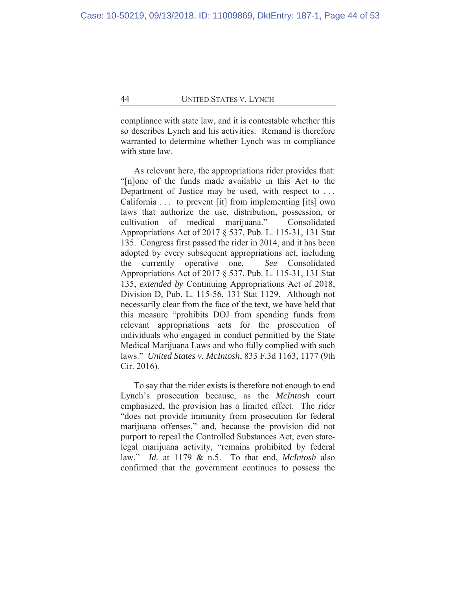compliance with state law, and it is contestable whether this so describes Lynch and his activities. Remand is therefore warranted to determine whether Lynch was in compliance with state law.

As relevant here, the appropriations rider provides that: "[n]one of the funds made available in this Act to the Department of Justice may be used, with respect to ... California . . . to prevent [it] from implementing [its] own laws that authorize the use, distribution, possession, or cultivation of medical marijuana." Consolidated Appropriations Act of 2017 § 537, Pub. L. 115-31, 131 Stat 135. Congress first passed the rider in 2014, and it has been adopted by every subsequent appropriations act, including the currently operative one. *See* Consolidated Appropriations Act of 2017 § 537, Pub. L. 115-31, 131 Stat 135, *extended by* Continuing Appropriations Act of 2018, Division D, Pub. L. 115-56, 131 Stat 1129. Although not necessarily clear from the face of the text, we have held that this measure "prohibits DOJ from spending funds from relevant appropriations acts for the prosecution of individuals who engaged in conduct permitted by the State Medical Marijuana Laws and who fully complied with such laws." *United States v. McIntosh*, 833 F.3d 1163, 1177 (9th Cir. 2016)*.*

To say that the rider exists is therefore not enough to end Lynch's prosecution because, as the *McIntosh* court emphasized, the provision has a limited effect. The rider "does not provide immunity from prosecution for federal marijuana offenses," and, because the provision did not purport to repeal the Controlled Substances Act, even statelegal marijuana activity, "remains prohibited by federal law." *Id.* at 1179 & n.5. To that end, *McIntosh* also confirmed that the government continues to possess the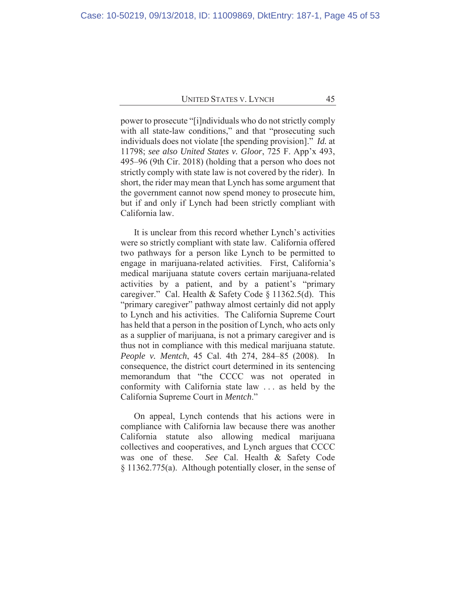power to prosecute "[i]ndividuals who do not strictly comply with all state-law conditions," and that "prosecuting such individuals does not violate [the spending provision]." *Id.* at 11798; *see also United States v. Gloor*, 725 F. App'x 493, 495–96 (9th Cir. 2018) (holding that a person who does not strictly comply with state law is not covered by the rider). In short, the rider may mean that Lynch has some argument that the government cannot now spend money to prosecute him, but if and only if Lynch had been strictly compliant with California law.

It is unclear from this record whether Lynch's activities were so strictly compliant with state law. California offered two pathways for a person like Lynch to be permitted to engage in marijuana-related activities. First, California's medical marijuana statute covers certain marijuana-related activities by a patient, and by a patient's "primary caregiver." Cal. Health & Safety Code § 11362.5(d). This "primary caregiver" pathway almost certainly did not apply to Lynch and his activities. The California Supreme Court has held that a person in the position of Lynch, who acts only as a supplier of marijuana, is not a primary caregiver and is thus not in compliance with this medical marijuana statute. *People v. Mentch*, 45 Cal. 4th 274, 284–85 (2008). In consequence, the district court determined in its sentencing memorandum that "the CCCC was not operated in conformity with California state law . . . as held by the California Supreme Court in *Mentch*."

On appeal, Lynch contends that his actions were in compliance with California law because there was another California statute also allowing medical marijuana collectives and cooperatives, and Lynch argues that CCCC was one of these. *See* Cal. Health & Safety Code § 11362.775(a). Although potentially closer, in the sense of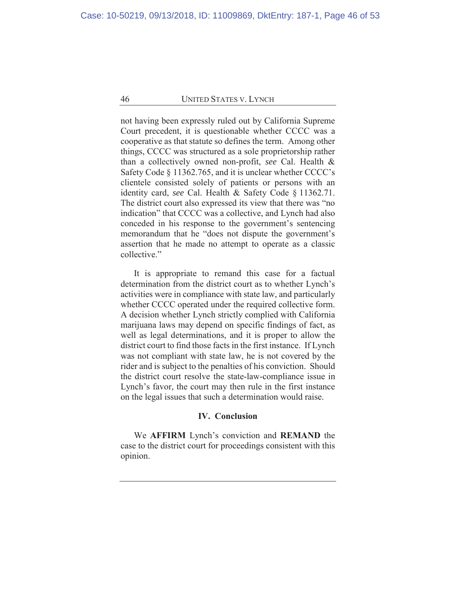not having been expressly ruled out by California Supreme Court precedent, it is questionable whether CCCC was a cooperative as that statute so defines the term. Among other things, CCCC was structured as a sole proprietorship rather than a collectively owned non-profit, *see* Cal. Health & Safety Code § 11362.765, and it is unclear whether CCCC's clientele consisted solely of patients or persons with an identity card, *see* Cal. Health & Safety Code § 11362.71. The district court also expressed its view that there was "no indication" that CCCC was a collective, and Lynch had also conceded in his response to the government's sentencing memorandum that he "does not dispute the government's assertion that he made no attempt to operate as a classic collective."

It is appropriate to remand this case for a factual determination from the district court as to whether Lynch's activities were in compliance with state law, and particularly whether CCCC operated under the required collective form. A decision whether Lynch strictly complied with California marijuana laws may depend on specific findings of fact, as well as legal determinations, and it is proper to allow the district court to find those facts in the first instance. If Lynch was not compliant with state law, he is not covered by the rider and is subject to the penalties of his conviction. Should the district court resolve the state-law-compliance issue in Lynch's favor, the court may then rule in the first instance on the legal issues that such a determination would raise.

## **IV. Conclusion**

We **AFFIRM** Lynch's conviction and **REMAND** the case to the district court for proceedings consistent with this opinion.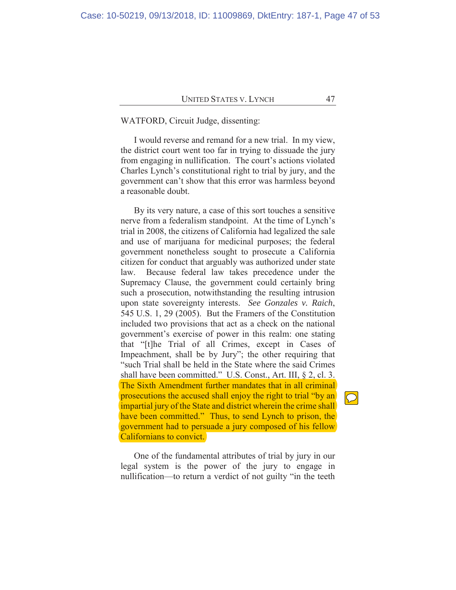# WATFORD, Circuit Judge, dissenting:

I would reverse and remand for a new trial. In my view, the district court went too far in trying to dissuade the jury from engaging in nullification. The court's actions violated Charles Lynch's constitutional right to trial by jury, and the government can't show that this error was harmless beyond a reasonable doubt.

By its very nature, a case of this sort touches a sensitive nerve from a federalism standpoint. At the time of Lynch's trial in 2008, the citizens of California had legalized the sale and use of marijuana for medicinal purposes; the federal government nonetheless sought to prosecute a California citizen for conduct that arguably was authorized under state law. Because federal law takes precedence under the Supremacy Clause, the government could certainly bring such a prosecution, notwithstanding the resulting intrusion upon state sovereignty interests. *See Gonzales v. Raich*, 545 U.S. 1, 29 (2005). But the Framers of the Constitution included two provisions that act as a check on the national government's exercise of power in this realm: one stating that "[t]he Trial of all Crimes, except in Cases of Impeachment, shall be by Jury"; the other requiring that "such Trial shall be held in the State where the said Crimes shall have been committed." U.S. Const., Art. III, § 2, cl. 3. The Sixth Amendment further mandates that in all criminal prosecutions the accused shall enjoy the right to trial "by an impartial jury of the State and district wherein the crime shall have been committed." Thus, to send Lynch to prison, the government had to persuade a jury composed of his fellow Californians to convict.

One of the fundamental attributes of trial by jury in our legal system is the power of the jury to engage in nullification—to return a verdict of not guilty "in the teeth

 $\bigcirc$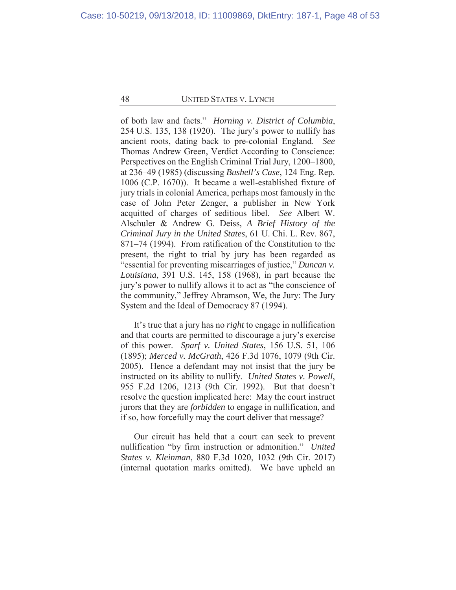of both law and facts." *Horning v. District of Columbia*, 254 U.S. 135, 138 (1920). The jury's power to nullify has ancient roots, dating back to pre-colonial England. *See* Thomas Andrew Green, Verdict According to Conscience: Perspectives on the English Criminal Trial Jury, 1200–1800, at 236–49 (1985) (discussing *Bushell's Case*, 124 Eng. Rep. 1006 (C.P. 1670)). It became a well-established fixture of jury trials in colonial America, perhaps most famously in the case of John Peter Zenger, a publisher in New York acquitted of charges of seditious libel. *See* Albert W. Alschuler & Andrew G. Deiss, *A Brief History of the Criminal Jury in the United States*, 61 U. Chi. L. Rev. 867, 871–74 (1994). From ratification of the Constitution to the present, the right to trial by jury has been regarded as "essential for preventing miscarriages of justice," *Duncan v. Louisiana*, 391 U.S. 145, 158 (1968), in part because the jury's power to nullify allows it to act as "the conscience of the community," Jeffrey Abramson, We, the Jury: The Jury System and the Ideal of Democracy 87 (1994).

It's true that a jury has no *right* to engage in nullification and that courts are permitted to discourage a jury's exercise of this power. *Sparf v. United States*, 156 U.S. 51, 106 (1895); *Merced v. McGrath*, 426 F.3d 1076, 1079 (9th Cir. 2005). Hence a defendant may not insist that the jury be instructed on its ability to nullify. *United States v. Powell*, 955 F.2d 1206, 1213 (9th Cir. 1992). But that doesn't resolve the question implicated here: May the court instruct jurors that they are *forbidden* to engage in nullification, and if so, how forcefully may the court deliver that message?

Our circuit has held that a court can seek to prevent nullification "by firm instruction or admonition." *United States v. Kleinman*, 880 F.3d 1020, 1032 (9th Cir. 2017) (internal quotation marks omitted). We have upheld an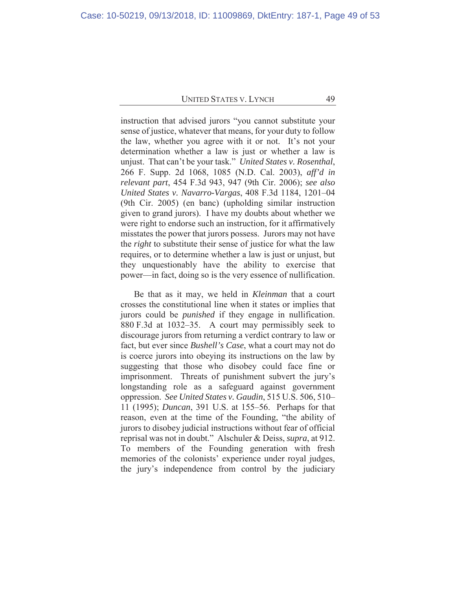instruction that advised jurors "you cannot substitute your sense of justice, whatever that means, for your duty to follow the law, whether you agree with it or not. It's not your determination whether a law is just or whether a law is unjust. That can't be your task." *United States v. Rosenthal*, 266 F. Supp. 2d 1068, 1085 (N.D. Cal. 2003), *aff'd in relevant part*, 454 F.3d 943, 947 (9th Cir. 2006); *see also United States v. Navarro-Vargas*, 408 F.3d 1184, 1201–04 (9th Cir. 2005) (en banc) (upholding similar instruction given to grand jurors). I have my doubts about whether we were right to endorse such an instruction, for it affirmatively misstates the power that jurors possess. Jurors may not have the *right* to substitute their sense of justice for what the law requires, or to determine whether a law is just or unjust, but they unquestionably have the ability to exercise that power—in fact, doing so is the very essence of nullification.

Be that as it may, we held in *Kleinman* that a court crosses the constitutional line when it states or implies that jurors could be *punished* if they engage in nullification. 880 F.3d at 1032–35. A court may permissibly seek to discourage jurors from returning a verdict contrary to law or fact, but ever since *Bushell's Case*, what a court may not do is coerce jurors into obeying its instructions on the law by suggesting that those who disobey could face fine or imprisonment. Threats of punishment subvert the jury's longstanding role as a safeguard against government oppression. *See United States v. Gaudin*, 515 U.S. 506, 510– 11 (1995); *Duncan*, 391 U.S. at 155–56. Perhaps for that reason, even at the time of the Founding, "the ability of jurors to disobey judicial instructions without fear of official reprisal was not in doubt." Alschuler & Deiss, *supra*, at 912. To members of the Founding generation with fresh memories of the colonists' experience under royal judges, the jury's independence from control by the judiciary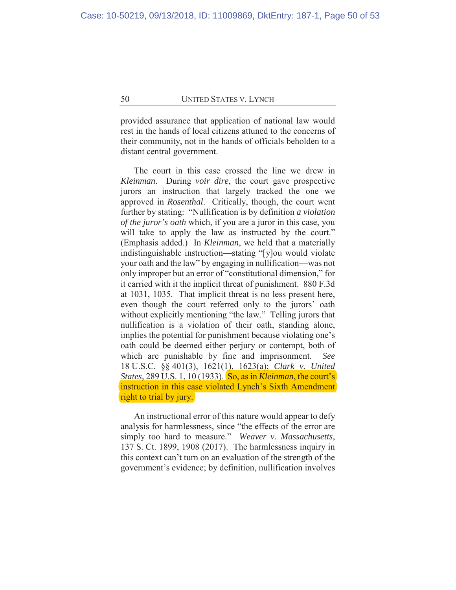provided assurance that application of national law would rest in the hands of local citizens attuned to the concerns of their community, not in the hands of officials beholden to a distant central government.

The court in this case crossed the line we drew in *Kleinman*. During *voir dire*, the court gave prospective jurors an instruction that largely tracked the one we approved in *Rosenthal*. Critically, though, the court went further by stating: "Nullification is by definition *a violation of the juror's oath* which, if you are a juror in this case, you will take to apply the law as instructed by the court." (Emphasis added.) In *Kleinman*, we held that a materially indistinguishable instruction—stating "[y]ou would violate your oath and the law" by engaging in nullification—was not only improper but an error of "constitutional dimension," for it carried with it the implicit threat of punishment. 880 F.3d at 1031, 1035. That implicit threat is no less present here, even though the court referred only to the jurors' oath without explicitly mentioning "the law." Telling jurors that nullification is a violation of their oath, standing alone, implies the potential for punishment because violating one's oath could be deemed either perjury or contempt, both of which are punishable by fine and imprisonment. *See* 18 U.S.C. §§ 401(3), 1621(1), 1623(a); *Clark v. United States*, 289 U.S. 1, 10 (1933). So, as in *Kleinman*, the court's instruction in this case violated Lynch's Sixth Amendment right to trial by jury.

An instructional error of this nature would appear to defy analysis for harmlessness, since "the effects of the error are simply too hard to measure." *Weaver v. Massachusetts*, 137 S. Ct. 1899, 1908 (2017). The harmlessness inquiry in this context can't turn on an evaluation of the strength of the government's evidence; by definition, nullification involves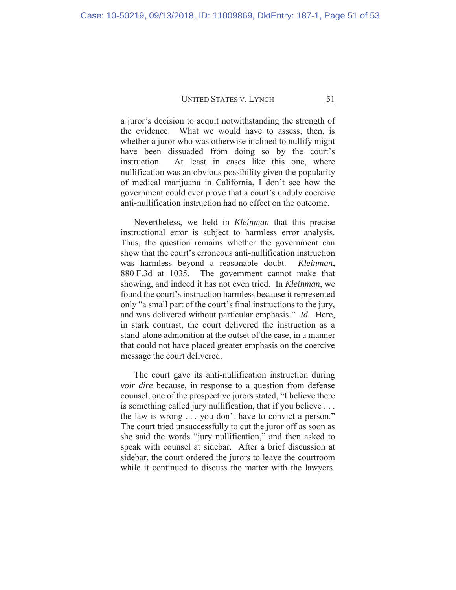a juror's decision to acquit notwithstanding the strength of the evidence. What we would have to assess, then, is whether a juror who was otherwise inclined to nullify might have been dissuaded from doing so by the court's instruction. At least in cases like this one, where nullification was an obvious possibility given the popularity of medical marijuana in California, I don't see how the government could ever prove that a court's unduly coercive anti-nullification instruction had no effect on the outcome.

Nevertheless, we held in *Kleinman* that this precise instructional error is subject to harmless error analysis. Thus, the question remains whether the government can show that the court's erroneous anti-nullification instruction was harmless beyond a reasonable doubt. *Kleinman*, 880 F.3d at 1035. The government cannot make that showing, and indeed it has not even tried. In *Kleinman*, we found the court's instruction harmless because it represented only "a small part of the court's final instructions to the jury, and was delivered without particular emphasis." *Id.* Here, in stark contrast, the court delivered the instruction as a stand-alone admonition at the outset of the case, in a manner that could not have placed greater emphasis on the coercive message the court delivered.

The court gave its anti-nullification instruction during *voir dire* because, in response to a question from defense counsel, one of the prospective jurors stated, "I believe there is something called jury nullification, that if you believe . . . the law is wrong . . . you don't have to convict a person." The court tried unsuccessfully to cut the juror off as soon as she said the words "jury nullification," and then asked to speak with counsel at sidebar. After a brief discussion at sidebar, the court ordered the jurors to leave the courtroom while it continued to discuss the matter with the lawyers.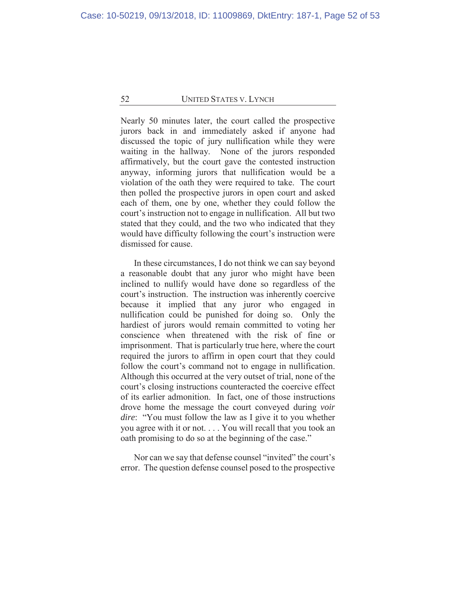Nearly 50 minutes later, the court called the prospective jurors back in and immediately asked if anyone had discussed the topic of jury nullification while they were waiting in the hallway. None of the jurors responded affirmatively, but the court gave the contested instruction anyway, informing jurors that nullification would be a violation of the oath they were required to take. The court then polled the prospective jurors in open court and asked each of them, one by one, whether they could follow the court's instruction not to engage in nullification. All but two stated that they could, and the two who indicated that they would have difficulty following the court's instruction were dismissed for cause.

In these circumstances, I do not think we can say beyond a reasonable doubt that any juror who might have been inclined to nullify would have done so regardless of the court's instruction. The instruction was inherently coercive because it implied that any juror who engaged in nullification could be punished for doing so. Only the hardiest of jurors would remain committed to voting her conscience when threatened with the risk of fine or imprisonment. That is particularly true here, where the court required the jurors to affirm in open court that they could follow the court's command not to engage in nullification. Although this occurred at the very outset of trial, none of the court's closing instructions counteracted the coercive effect of its earlier admonition. In fact, one of those instructions drove home the message the court conveyed during *voir dire*: "You must follow the law as I give it to you whether you agree with it or not. . . . You will recall that you took an oath promising to do so at the beginning of the case."

Nor can we say that defense counsel "invited" the court's error. The question defense counsel posed to the prospective